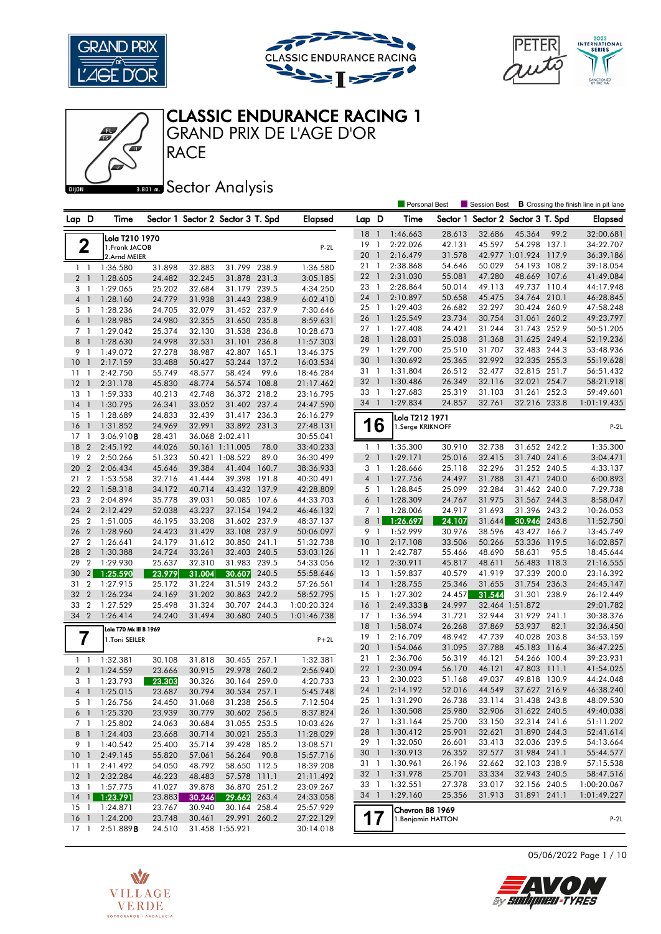





#### GRAND PRIX DE L'AGE D'OR CLASSIC ENDURANCE RACING 1

Æ

### **Banks** Sector Analysis

**RACE** 

|                                |   |                        |        |        |                                   |       |                |                 |                | Personal Best                      |                  | Session Best                      |                              |       | <b>B</b> Crossing the finish line in pit lane |
|--------------------------------|---|------------------------|--------|--------|-----------------------------------|-------|----------------|-----------------|----------------|------------------------------------|------------------|-----------------------------------|------------------------------|-------|-----------------------------------------------|
| Lap D                          |   | Time                   |        |        | Sector 1 Sector 2 Sector 3 T. Spd |       | <b>Elapsed</b> | Lap D           |                | Time                               |                  | Sector 1 Sector 2 Sector 3 T. Spd |                              |       | <b>Elapsed</b>                                |
|                                |   | Lola T210 1970         |        |        |                                   |       |                | 18              | $\overline{1}$ | 1:46.663                           | 28.613           | 32.686                            | 45.364                       | 99.2  | 32:00.681                                     |
| 2                              |   | 1. Frank JACOB         |        |        |                                   |       | $P-2L$         | 19              | $\mathbf{1}$   | 2:22.026                           | 42.131           | 45.597                            | 54.298 137.1                 |       | 34:22.707                                     |
|                                |   | 2.Arnd MEIER           |        |        |                                   |       |                | 20              | $\overline{1}$ | 2:16.479                           | 31.578           |                                   | 42.977 1:01.924 117.9        |       | 36:39.186                                     |
| 11                             |   | 1:36.580               | 31.898 | 32.883 | 31.799 238.9                      |       | 1:36.580       | 21              | $\overline{1}$ | 2:38.868                           | 54.646           | 50.029                            | 54.193 108.2                 |       | 39:18.054                                     |
| 2 <sub>1</sub>                 |   | 1:28.605               | 24.482 | 32.245 | 31.878 231.3                      |       | 3:05.185       | 22              | $\overline{1}$ | 2:31.030                           | 55.081           | 47.280                            | 48.669 107.6                 |       | 41:49.084                                     |
| 3<br>-1                        |   | 1:29.065               | 25.202 | 32.684 | 31.179 239.5                      |       | 4:34.250       | 23 1            |                | 2:28.864                           | 50.014           | 49.113                            | 49.737 110.4                 |       | 44:17.948                                     |
| $\overline{4}$<br>$\mathbf{1}$ |   | 1:28.160               | 24.779 | 31.938 | 31.443 238.9                      |       | 6:02.410       | 24              | $\mathbf{1}$   | 2:10.897                           | 50.658           | 45.475                            | 34.764 210.1                 |       | 46:28.845                                     |
| 5 1                            |   | 1:28.236               | 24.705 | 32.079 | 31.452 237.9                      |       | 7:30.646       | 25 1            |                | 1:29.403                           | 26.682           | 32.297                            | 30.424 260.9                 |       | 47:58.248                                     |
| 6 <sup>1</sup>                 |   | 1:28.985               | 24.980 | 32.355 | 31.650                            | 235.8 | 8:59.631       | 26              | $\overline{1}$ | 1:25.549                           | 23.734           | 30.754                            | 31.061                       | 260.2 | 49:23.797                                     |
| 7 <sub>1</sub>                 |   | 1:29.042               | 25.374 | 32.130 | 31.538 236.8                      |       | 10:28.673      | 27 1            |                | 1:27.408                           | 24.421           | 31.244                            | 31.743 252.9                 |       | 50:51.205                                     |
| 8<br>$\mathbf{1}$              |   | 1:28.630               | 24.998 | 32.531 | 31.101                            | 236.8 | 11:57.303      | 28              | $\overline{1}$ | 1:28.031                           | 25.038           | 31.368                            | 31.625 249.4                 |       | 52:19.236                                     |
| 9 1                            |   | 1:49.072               | 27.278 | 38.987 | 42.807                            | 165.1 | 13:46.375      | 29 1            |                | 1:29.700                           | 25.510           | 31.707                            | 32.483 244.3                 |       | 53:48.936                                     |
| 10<br>$\overline{1}$           |   | 2:17.159               | 33.488 | 50.427 | 53.244 137.2                      |       | 16:03.534      | 30              | $\overline{1}$ | 1:30.692                           | 25.365           | 32.992                            | 32.335 255.3                 |       | 55:19.628                                     |
| 11<br>$\overline{1}$           |   | 2:42.750               | 55.749 | 48.577 | 58.424                            | 99.6  | 18:46.284      | 31 1            |                | 1:31.804                           | 26.512           | 32.477                            | 32.815 251.7                 |       | 56:51.432                                     |
| 12<br>$\overline{1}$           |   | 2:31.178               | 45.830 | 48.774 | 56.574 108.8                      |       | 21:17.462      | 32 1            |                | 1:30.486                           | 26.349           | 32.116                            | 32.021                       | 254.7 | 58:21.918                                     |
| 13<br>-1                       |   | 1:59.333               | 40.213 | 42.748 | 36.372 218.2                      |       | 23:16.795      | 33              | $\overline{1}$ | 1:27.683                           | 25.319           | 31.103                            | 31.261                       | 252.3 | 59:49.601                                     |
| 14<br>$\overline{1}$           |   | 1:30.795               | 26.341 | 33.052 | 31.402 237.4                      |       | 24:47.590      | 34 1            |                | 1:29.834                           | 24.857           | 32.761                            | 32.216 233.8                 |       | 1:01:19.435                                   |
| 15<br>1                        |   | 1:28.689               | 24.833 | 32.439 | 31.417 236.3                      |       | 26:16.279      |                 |                |                                    |                  |                                   |                              |       |                                               |
| 16<br>$\overline{1}$           |   | 1:31.852               | 24.969 | 32.991 | 33.892 231.3                      |       | 27:48.131      |                 | 16             | Lola T212 1971<br>1.Serge KRIKNOFF |                  |                                   |                              |       | $P-2L$                                        |
| $17-1$                         |   | 3:06.910B              | 28.431 |        | 36.068 2:02.411                   |       | 30:55.041      |                 |                |                                    |                  |                                   |                              |       |                                               |
| 18<br>$\overline{2}$           |   | 2:45.192               | 44.026 |        | 50.161 1:11.005                   | 78.0  | 33:40.233      | 1               | $\overline{1}$ | 1:35.300                           | 30.910           | 32.738                            | 31.652 242.2                 |       | 1:35.300                                      |
| 19<br>$\overline{2}$           |   | 2:50.266               | 51.323 |        | 50.421 1:08.522                   | 89.0  | 36:30.499      | 2 <sub>1</sub>  |                | 1:29.171                           | 25.016           | 32.415                            | 31.740 241.6                 |       | 3:04.471                                      |
| 20<br>$\overline{2}$           |   | 2:06.434               | 45.646 | 39.384 | 41.404                            | 160.7 | 38:36.933      | 3 1             |                | 1:28.666                           | 25.118           | 32.296                            | 31.252 240.5                 |       | 4:33.137                                      |
| $\overline{2}$<br>21           |   | 1:53.558               | 32.716 | 41.444 | 39.398                            | 191.8 | 40:30.491      | 4 <sup>1</sup>  |                | 1:27.756                           | 24.497           | 31.788                            | 31.471 240.0                 |       | 6:00.893                                      |
| 22<br>$\overline{2}$           |   | 1:58.318               | 34.172 | 40.714 | 43.432 137.9                      |       | 42:28.809      | 5 <sub>1</sub>  |                | 1:28.845                           | 25.099           | 32.284                            | 31.462 240.0                 |       | 7:29.738                                      |
| $\overline{2}$<br>23           |   | 2:04.894               | 35.778 | 39.031 | 50.085                            | 107.6 | 44:33.703      | $6-1$           |                | 1:28.309                           | 24.767           | 31.975                            | 31.567 244.3                 |       | 8:58.047                                      |
| $\overline{2}$<br>24           |   | 2:12.429               | 52.038 | 43.237 | 37.154 194.2                      |       | 46:46.132      | 7 1             |                | 1:28.006                           | 24.917           | 31.693                            | 31.396 243.2                 |       | 10:26.053                                     |
| $\overline{2}$<br>25           |   | 1:51.005               | 46.195 | 33.208 | 31.602 237.9                      |       | 48:37.137      | 8               | $\mathbf{1}$   | 1:26.697                           | 24.107           | 31.644                            | 30.946                       | 243.8 | 11:52.750                                     |
| 26<br>$\overline{2}$           |   | 1:28.960               | 24.423 | 31.429 | 33.108 237.9                      |       | 50:06.097      | 9 1             |                | 1:52.999                           | 30.976           | 38.596                            | 43.427                       | 166.7 | 13:45.749                                     |
| $\overline{2}$<br>27           |   | 1:26.641               | 24.179 | 31.612 | 30.850 241.1                      |       | 51:32.738      | 10 <sup>°</sup> | $\overline{1}$ | 2:17.108                           | 33.506           | 50.266                            | 53.336 119.5                 |       | 16:02.857                                     |
| 28<br>$\overline{2}$           |   | 1:30.388               | 24.724 | 33.261 | 32.403 240.5                      |       | 53:03.126      | 11              | $\overline{1}$ | 2:42.787                           | 55.466           | 48.690                            | 58.631                       | 95.5  | 18:45.644                                     |
| 29<br>$\overline{2}$           |   | 1:29.930               | 25.637 | 32.310 | 31.983 239.5                      |       | 54:33.056      | 12              | $\overline{1}$ | 2:30.911                           | 45.817           | 48.611                            | 56.483                       | 118.3 | 21:16.555                                     |
| 30                             | 2 | 1:25.590               | 23.979 | 31.004 | 30.607                            | 240.5 | 55:58.646      | 13 1            |                | 1:59.837                           | 40.579           | 41.919                            | 37.339                       | 200.0 | 23:16.392                                     |
| $\overline{2}$<br>31           |   | 1:27.915               | 25.172 | 31.224 | 31.519 243.2                      |       | 57:26.561      | $14-1$          |                | 1:28.755                           | 25.346           | 31.655                            | 31.754 236.3                 |       | 24:45.147                                     |
| 32<br>$\overline{2}$           |   | 1:26.234               | 24.169 | 31.202 | 30.863 242.2                      |       | 58:52.795      | $15-1$          |                | 1:27.302                           | 24.457           | 31.544                            | 31.301                       | 238.9 | 26:12.449                                     |
| 33<br>$\overline{2}$           |   | 1:27.529               | 25.498 | 31.324 | 30.707 244.3                      |       | 1:00:20.324    | 16              | $\overline{1}$ | 2:49.333B                          | 24.997           | 32.464                            | 1:51.872                     |       | 29:01.782                                     |
| 34 2                           |   | 1:26.414               | 24.240 | 31.494 | 30.680 240.5                      |       | 1:01:46.738    | $17-1$          |                | 1:36.594                           | 31.721           | 32.944                            | 31.929 241.1                 |       | 30:38.376                                     |
|                                |   |                        |        |        |                                   |       |                | 18              | $\overline{1}$ | 1:58.074                           | 26.268           | 37.869                            | 53.937                       | 82.1  | 32:36.450                                     |
|                                |   | Lola T70 Mk III B 1969 |        |        |                                   |       |                | $19-1$          |                | 2:16.709                           | 48.942           | 47.739                            | 40.028 203.8                 |       | 34:53.159                                     |
| 7                              |   | 1.Toni SEILER          |        |        |                                   |       | $P+2L$         | 20              | $\overline{1}$ | 1:54.066                           | 31.095           | 37.788                            | 45.183                       | 116.4 | 36:47.225                                     |
|                                |   |                        |        |        |                                   |       |                | 21              | $\mathbf{1}$   | 2:36.706                           | 56.319           | 46.121                            | 54.266 100.4                 |       | 39:23.931                                     |
| $1\quad$                       |   | 1:32.381               | 30.108 | 31.818 | 30.455                            | 257.1 | 1:32.381       | 22              | $\overline{1}$ |                                    |                  |                                   | 47.803 111.1                 |       | 41:54.025                                     |
| 2 <sub>1</sub>                 |   | 1:24.559               | 23.666 | 30.915 | 29.978 260.2                      |       | 2:56.940       | 23              | $\overline{1}$ | 2:30.094                           | 56.170           | 46.121                            | 49.818 130.9                 |       |                                               |
| 3<br>-1                        |   | 1:23.793               | 23.303 | 30.326 | 30.164 259.0                      |       | 4:20.733       | 24 1            |                | 2:30.023<br>2:14.192               | 51.168<br>52.016 | 49.037<br>44.549                  | 37.627 216.9                 |       | 44:24.048<br>46:38.240                        |
| 4 1                            |   | 1:25.015               | 23.687 | 30.794 | 30.534 257.1                      |       | 5:45.748       |                 |                | 25 1 1:31.290                      | 26.738           | 33.114                            | 31.438 243.8                 |       | 48:09.530                                     |
| 51                             |   | 1:26.756               | 24.450 | 31.068 | 31.238 256.5                      |       | 7:12.504       |                 |                |                                    |                  |                                   |                              |       |                                               |
| 6 1                            |   | 1:25.320               | 23.939 | 30.779 | 30.602 256.5                      |       | 8:37.824       | 26 1            |                | 1:30.508                           | 25.980           | 32.906                            | 31.622 240.5<br>32.314 241.6 |       | 49:40.038                                     |
| 7 1                            |   | 1:25.802               | 24.063 | 30.684 | 31.055 253.5                      |       | 10:03.626      | 27 1            |                | 1:31.164                           | 25.700           | 33.150                            |                              |       | 51:11.202                                     |
| 8 1                            |   | 1:24.403               | 23.668 | 30.714 | 30.021 255.3                      |       | 11:28.029      | 28 1            |                | 1:30.412                           | 25.901           | 32.621                            | 31.890 244.3                 |       | 52:41.614                                     |
| 9 1                            |   | 1:40.542               | 25.400 | 35.714 | 39.428 185.2                      |       | 13:08.571      | 29 1            |                | 1:32.050                           | 26.601           | 33.413                            | 32.036 239.5                 |       | 54:13.664                                     |
| 10 <sub>1</sub>                |   | 2:49.145               | 55.820 | 57.061 | 56.264                            | 90.8  | 15:57.716      | 30 <sub>1</sub> |                | 1:30.913                           | 26.352           | 32.577                            | 31.984 241.1                 |       | 55:44.577                                     |
| 11<br>$\overline{1}$           |   | 2:41.492               | 54.050 | 48.792 | 58.650 112.5                      |       | 18:39.208      | 31 1            |                | 1:30.961                           | 26.196           | 32.662                            | 32.103 238.9                 |       | 57:15.538                                     |
| $12-1$                         |   | 2:32.284               | 46.223 | 48.483 | 57.578 111.1                      |       | 21:11.492      | 32 <sub>1</sub> |                | 1:31.978                           | 25.701           | 33.334                            | 32.943 240.5                 |       | 58:47.516                                     |
|                                |   | 13 1 1:57.775          | 41.027 | 39.878 | 36.870 251.2                      |       | 23:09.267      | 33 1            |                | 1:32.551                           | 27.378           | 33.017                            | 32.156 240.5                 |       | 1:00:20.067                                   |
|                                |   | $14$ 1 1:23.791        | 23.883 | 30.246 | 29.662 263.4                      |       | 24:33.058      | 34 1            |                | 1:29.160                           | 25.356           | 31.913                            | 31.891 241.1                 |       | 1:01:49.227                                   |
| $15-1$                         |   | 1:24.871               | 23.767 | 30.940 | 30.164 258.4                      |       | 25:57.929      |                 |                | Chevron B8 1969                    |                  |                                   |                              |       |                                               |
| $16-1$                         |   | 1:24.200               | 23.748 | 30.461 | 29.991 260.2                      |       | 27:22.129      |                 | 17             | 1. Benjamin HATTON                 |                  |                                   |                              |       | $P-2L$                                        |
| $17-1$                         |   | 2:51.889B              | 24.510 |        | 31.458 1:55.921                   |       | 30:14.018      |                 |                |                                    |                  |                                   |                              |       |                                               |



05/06/2022 Page 1 / 10

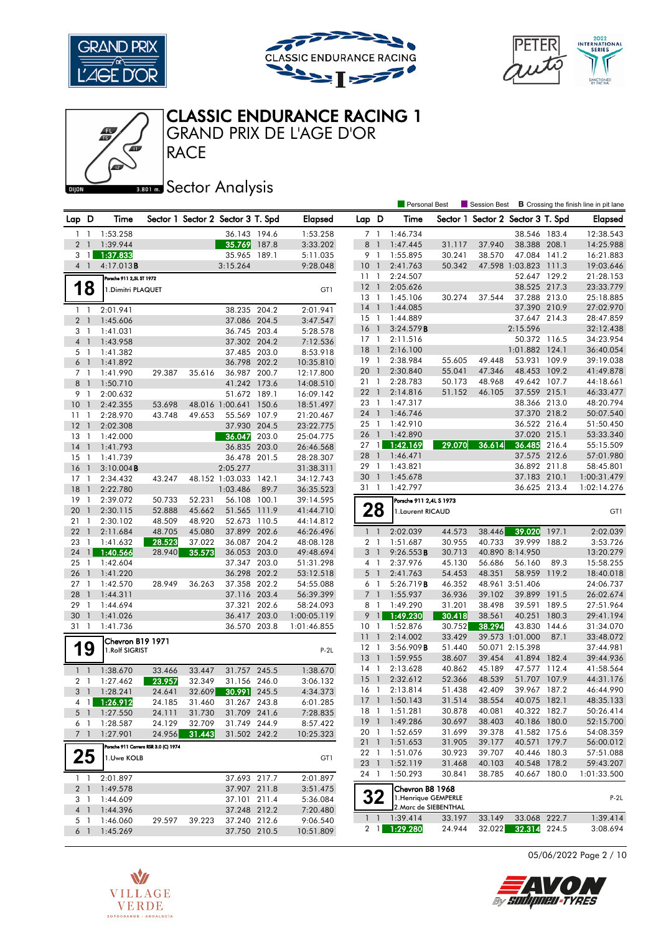

Æ





Personal Best **S** Session Best **B** Crossing the finish line in pit lane

# CLASSIC ENDURANCE RACING 1

GRAND PRIX DE L'AGE D'OR

**RACE** 

# **Banks** Sector Analysis

| Lap D          |                                  | Time                                 |                  |                  | Sector 1 Sector 2 Sector 3 T. Spd |       | <b>Elapsed</b>             | Lap D           |                | Time                    |                  |                  | Sector 1 Sector 2 Sector 3 T. Spd |       | <b>Elapsed</b>         |
|----------------|----------------------------------|--------------------------------------|------------------|------------------|-----------------------------------|-------|----------------------------|-----------------|----------------|-------------------------|------------------|------------------|-----------------------------------|-------|------------------------|
|                | $1\quad$                         | 1:53.258                             |                  |                  | 36.143 194.6                      |       | 1:53.258                   | 7 1             |                | 1:46.734                |                  |                  | 38.546 183.4                      |       | 12:38.543              |
| 2 <sub>1</sub> |                                  | 1:39.944                             |                  |                  | 35.769                            | 187.8 | 3:33.202                   | 8 1             |                | 1:47.445                | 31.117           | 37.940           | 38.388 208.1                      |       | 14:25.988              |
| 3              | $\overline{1}$                   | 1:37.833                             |                  |                  | 35.965                            | 189.1 | 5:11.035                   | 9 1             |                | 1:55.895                | 30.241           | 38.570           | 47.084 141.2                      |       | 16:21.883              |
|                | 4 <sup>1</sup>                   | 4:17.013B                            |                  |                  | 3:15.264                          |       | 9:28.048                   | 10              | $\overline{1}$ | 2:41.763                | 50.342           |                  | 47.598 1:03.823 111.3             |       | 19:03.646              |
|                |                                  | Porsche 911 2,5L ST 1972             |                  |                  |                                   |       |                            | 11              | $\overline{1}$ | 2:24.507                |                  |                  | 52.647 129.2                      |       | 21:28.153              |
|                | 18                               | 1. Dimitri PLAQUET                   |                  |                  |                                   |       | GT1                        | 12              | $\blacksquare$ | 2:05.626                |                  |                  | 38.525 217.3                      |       | 23:33.779              |
|                |                                  |                                      |                  |                  |                                   |       |                            | $13-1$          |                | 1:45.106                | 30.274           | 37.544           | 37.288 213.0                      |       | 25:18.885              |
|                | $1\quad$                         | 2:01.941                             |                  |                  | 38.235 204.2                      |       | 2:01.941                   | $14-1$          |                | 1:44.085                |                  |                  | 37.390 210.9                      |       | 27:02.970              |
| 2 <sub>1</sub> |                                  | 1:45.606                             |                  |                  | 37.086 204.5                      |       | 3:47.547                   | $15-1$          |                | 1:44.889                |                  |                  | 37.647 214.3                      |       | 28:47.859              |
| 3 1            |                                  | 1:41.031                             |                  |                  | 36.745 203.4                      |       | 5:28.578                   | 16              | $\overline{1}$ | 3:24.579B               |                  |                  | 2:15.596                          |       | 32:12.438              |
| 4 <sup>1</sup> |                                  | 1:43.958                             |                  |                  | 37.302 204.2                      |       | 7:12.536                   | $17-1$          |                | 2:11.516                |                  |                  | 50.372 116.5                      |       | 34:23.954              |
|                | 5 1                              | 1:41.382                             |                  |                  | 37.485 203.0                      |       | 8:53.918                   | 18              | $\overline{1}$ | 2:16.100                |                  |                  | 1:01.882 124.1                    |       | 36:40.054              |
| 6 <sup>1</sup> |                                  | 1:41.892                             |                  |                  | 36.798 202.2                      |       | 10:35.810                  | 19              | $\overline{1}$ | 2:38.984                | 55.605           | 49.448           | 53.931                            | 109.9 | 39:19.038              |
| 7 <sup>1</sup> |                                  | 1:41.990                             | 29.387           | 35.616           | 36.987 200.7                      |       | 12:17.800                  | 20              | $\overline{1}$ | 2:30.840                | 55.041           | 47.346           | 48.453 109.2                      |       | 41:49.878              |
|                | 8 1                              | 1:50.710                             |                  |                  | 41.242 173.6                      |       | 14:08.510                  | 21 1            |                | 2:28.783                | 50.173           | 48.968           | 49.642 107.7                      |       | 44:18.661              |
| 9 1            |                                  | 2:00.632                             |                  |                  | 51.672 189.1                      |       | 16:09.142                  | $22 \quad 1$    |                | 2:14.816                | 51.152           | 46.105           | 37.559 215.1                      |       | 46:33.477              |
| 10             | - 1                              | 2:42.355                             | 53.698           |                  | 48.016 1:00.641 150.6             |       | 18:51.497                  | 23 1            |                | 1:47.317                |                  |                  | 38.366 213.0                      |       | 48:20.794              |
| 11             | $\overline{1}$                   | 2:28.970                             | 43.748           | 49.653           | 55.569 107.9                      |       | 21:20.467                  | 24 1            |                | 1:46.746                |                  |                  | 37.370 218.2                      |       | 50:07.540              |
| 12             | $\overline{1}$                   | 2:02.308                             |                  |                  | 37.930 204.5                      |       | 23:22.775                  | $25 \quad 1$    |                | 1:42.910                |                  |                  | 36.522 216.4                      |       | 51:50.450              |
| 13             | -1                               | 1:42.000                             |                  |                  | 36.047                            | 203.0 | 25:04.775                  | 26 <sub>1</sub> |                | 1:42.890                |                  |                  | 37.020 215.1                      |       | 53:33.340              |
| 14             | $\overline{1}$                   | 1:41.793                             |                  |                  | 36.835 203.0                      |       | 26:46.568                  | $27 \quad 1$    |                | 1:42.169                | 29.070           | 36.614           | 36.485 216.4                      |       | 55:15.509              |
| 15             | $\overline{1}$                   | 1:41.739                             |                  |                  | 36.478 201.5                      |       | 28:28.307                  | 28              | $\overline{1}$ | 1:46.471                |                  |                  | 37.575 212.6                      |       | 57:01.980              |
| 16             | $\overline{1}$                   | $3:10.004$ <b>B</b>                  |                  |                  | 2:05.277                          |       | 31:38.311                  | 29              | $\overline{1}$ | 1:43.821                |                  |                  | 36.892 211.8                      |       | 58:45.801              |
| $17-1$         |                                  | 2:34.432                             | 43.247           |                  | 48.152 1:03.033 142.1             |       | 34:12.743                  | 30 1            |                | 1:45.678                |                  |                  | 37.183 210.1                      |       | 1:00:31.479            |
| 18             | $\overline{1}$                   | 2:22.780                             |                  |                  | 1:03.486                          | 89.7  | 36:35.523                  | 31 1            |                | 1:42.797                |                  |                  | 36.625 213.4                      |       | 1:02:14.276            |
| 19             | $\overline{1}$                   | 2:39.072                             | 50.733           | 52.231           | 56.108 100.1                      |       | 39:14.595                  |                 |                | Porsche 911 2,4L S 1973 |                  |                  |                                   |       |                        |
| 20             | $\mathbf{1}$                     | 2:30.115                             | 52.888           | 45.662           | 51.565                            | 111.9 | 41:44.710                  | 28              |                | 1. Laurent RICAUD       |                  |                  |                                   |       | GT1                    |
| 21             | $\overline{1}$                   | 2:30.102                             | 48.509           | 48.920           | 52.673                            | 110.5 | 44:14.812                  |                 |                |                         |                  |                  |                                   |       |                        |
| 22             | -1                               | 2:11.684                             | 48.705           | 45.080           | 37.899 202.6                      |       | 46:26.496                  | 1 <sup>1</sup>  |                | 2:02.039                | 44.573           | 38.446           | 39.020                            | 197.1 | 2:02.039               |
| 23             | $\mathbf{1}$                     | 1:41.632                             | 28.523           | 37.022           | 36.087 204.2                      |       | 48:08.128                  | 2 <sub>1</sub>  |                | 1:51.687                | 30.955           | 40.733           | 39.999                            | 188.2 | 3:53.726               |
| 24             | $\mathbf{1}$                     | 1:40.566                             | 28.940           | 35.573           | 36.053 203.0                      |       | 49:48.694                  | 3 <sup>1</sup>  |                | 9:26.553B               | 30.713           |                  | 40.890 8:14.950                   |       | 13:20.279              |
| 25             | $\overline{1}$                   | 1:42.604                             |                  |                  | 37.347 203.0                      |       | 51:31.298                  | 4 1             |                | 2:37.976                | 45.130           | 56.686           | 56.160                            | 89.3  | 15:58.255              |
| 26             | $\overline{1}$                   | 1:41.220                             |                  |                  | 36.298 202.2                      |       | 53:12.518                  | 5 <sub>1</sub>  |                | 2:41.763                | 54.453           | 48.351           | 58.959 119.2                      |       | 18:40.018              |
| $27-1$         |                                  | 1:42.570                             | 28.949           | 36.263           | 37.358 202.2                      |       | 54:55.088                  | 6 1             |                | 5:26.719B               | 46.352           |                  | 48.961 3:51.406                   |       | 24:06.737              |
| 28<br>29       | $\overline{1}$<br>$\overline{1}$ | 1:44.311                             |                  |                  | 37.116 203.4<br>37.321 202.6      |       | 56:39.399                  | 7 <sub>1</sub>  |                | 1:55.937<br>1:49.290    | 36.936<br>31.201 | 39.102<br>38.498 | 39.899 191.5<br>39.591 189.5      |       | 26:02.674              |
| 30             |                                  | 1:44.694                             |                  |                  |                                   |       | 58:24.093                  | 8 1<br>9        | $\overline{1}$ |                         | 30.418           |                  | 40.251                            | 180.3 | 27:51.964              |
| 31             | -1<br>$\overline{1}$             | 1:41.026<br>1:41.736                 |                  |                  | 36.417<br>36.570 203.8            | 203.0 | 1:00:05.119<br>1:01:46.855 | 10 <sub>1</sub> |                | 1:49.230<br>1:52.876    | 30.752           | 38.561<br>38.294 | 43.830                            | 144.6 | 29:41.194<br>31:34.070 |
|                |                                  |                                      |                  |                  |                                   |       |                            | 11 <sub>1</sub> |                | 2:14.002                | 33.429           |                  | 39.573 1:01.000                   | 87.1  | 33:48.072              |
|                |                                  | Chevron B19 1971                     |                  |                  |                                   |       |                            | $12-1$          |                | 3:56.909B               | 51.440           |                  | 50.071 2:15.398                   |       | 37:44.981              |
|                | 19                               | 1.Rolf SIGRIST                       |                  |                  |                                   |       | $P-2L$                     | 13 <sup>1</sup> |                | 1:59.955                | 38.607           | 39.454           | 41.894 182.4                      |       | 39:44.936              |
|                |                                  |                                      |                  |                  | 31.757 245.5                      |       | 1:38.670                   | $14-1$          |                | 2:13.628                | 40.862           | 45.189           | 47.577 112.4                      |       | 41:58.564              |
| $1\quad$       |                                  | 1:38.670<br>1:27.462                 | 33.466           | 33.447<br>32.349 | 31.156 246.0                      |       | 3:06.132                   | <sup>15</sup>   | $\overline{1}$ | 2:32.612                | 52.366           | 48.539           | 51.707 107.9                      |       | 44:31.176              |
| 3 <sub>1</sub> | 2 <sub>1</sub>                   | 1:28.241                             | 23.957           |                  |                                   | 245.5 |                            | 16 1            |                | 2:13.814                | 51.438           | 42.409           | 39.967 187.2                      |       | 46:44.990              |
|                | 41                               | 1:26.912                             | 24.641<br>24.185 | 32.609<br>31.460 | 30.991<br>31.267 243.8            |       | 4:34.373<br>6:01.285       | $17-1$          |                | 1:50.143                | 31.514           | 38.554           | 40.075 182.1                      |       | 48:35.133              |
|                |                                  | 5 1 1:27.550                         | 24.111           | 31.730           | 31.709 241.6                      |       | 7:28.835                   | 18              | $\overline{1}$ | 1:51.281                | 30.878           | 40.081           | 40.322 182.7                      |       | 50:26.414              |
|                | 61                               | 1:28.587                             | 24.129           | 32.709           | 31.749 244.9                      |       | 8:57.422                   | 19 1            |                | 1:49.286                | 30.697           | 38.403           | 40.186 180.0                      |       | 52:15.700              |
|                | 7 <sub>1</sub>                   | 1:27.901                             | 24.956           | 31.443           | 31.502 242.2                      |       | 10:25.323                  | 20 1            |                | 1:52.659                | 31.699           | 39.378           | 41.582 175.6                      |       | 54:08.359              |
|                |                                  |                                      |                  |                  |                                   |       |                            | $21 \quad 1$    |                | 1:51.653                | 31.905           | 39.177           | 40.571 179.7                      |       | 56:00.012              |
|                |                                  | Porsche 911 Carrera RSR 3.0 (C) 1974 |                  |                  |                                   |       |                            | 22 1            |                | 1:51.076                | 30.923           | 39.707           | 40.446 180.3                      |       | 57:51.088              |
|                | 25                               | 1.Uwe KOLB                           |                  |                  |                                   |       | GT1                        | 23 1            |                | 1:52.119                | 31.468           | 40.103           | 40.548 178.2                      |       | 59:43.207              |
|                |                                  |                                      |                  |                  |                                   |       |                            | 24 1            |                | 1:50.293                | 30.841           | 38.785           | 40.667 180.0                      |       | 1:01:33.500            |
|                | $1 \quad 1$<br>2 <sub>1</sub>    | 2:01.897<br>1:49.578                 |                  |                  | 37.693 217.7<br>37.907 211.8      |       | 2:01.897<br>3:51.475       |                 |                | Chevron B8 1968         |                  |                  |                                   |       |                        |
|                | 3 1                              | 1:44.609                             |                  |                  | 37.101 211.4                      |       | 5:36.084                   | 32              |                | 1. Henrique GEMPERLE    |                  |                  |                                   |       | $P-2L$                 |
|                | $4-1$                            | 1:44.396                             |                  |                  | 37.248 212.2                      |       | 7:20.480                   |                 |                | 2. Marc de SIEBENTHAL   |                  |                  |                                   |       |                        |
|                | 5 <sub>1</sub>                   | 1:46.060                             | 29.597           | 39.223           | 37.240 212.6                      |       | 9:06.540                   |                 | $1 \quad 1$    | 1:39.414                | 33.197           | 33.149           | 33.068 222.7                      |       | 1:39.414               |
|                | 6 1                              | 1:45.269                             |                  |                  | 37.750 210.5                      |       | 10:51.809                  | $2 \mid 1 \mid$ |                | 1:29.280                | 24.944           | 32.022           | 32.314 224.5                      |       | 3:08.694               |
|                |                                  |                                      |                  |                  |                                   |       |                            |                 |                |                         |                  |                  |                                   |       |                        |





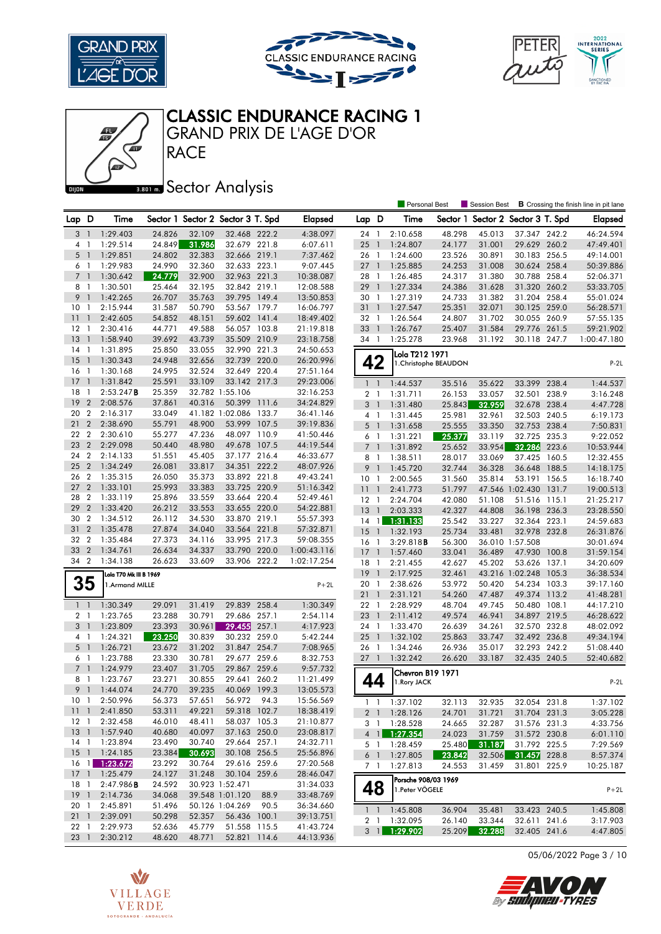





Personal Best **S** Session Best **B** Crossing the finish line in pit lane



#### GRAND PRIX DE L'AGE D'OR CLASSIC ENDURANCE RACING 1

**Banks** Sector Analysis

| Lap D    |                  | Time                   |        | Sector 1 Sector 2 Sector 3 T. Spd |                 |       | <b>Elapsed</b> | Lap D           |                | Time                  |        |        | Sector 1 Sector 2 Sector 3 T. Spd |       | <b>Elapsed</b> |
|----------|------------------|------------------------|--------|-----------------------------------|-----------------|-------|----------------|-----------------|----------------|-----------------------|--------|--------|-----------------------------------|-------|----------------|
|          | 3 <sup>1</sup>   | 1:29.403               | 24.826 | 32.109                            | 32.468 222.2    |       | 4:38.097       | 24 1            |                | 2:10.658              | 48.298 | 45.013 | 37.347 242.2                      |       | 46:24.594      |
|          | 4 <sup>1</sup>   | 1:29.514               | 24.849 | 31.986                            | 32.679 221.8    |       | 6:07.611       | 25              | $\overline{1}$ | 1:24.807              | 24.177 | 31.001 | 29.629 260.2                      |       | 47:49.401      |
|          | $5-1$            | 1:29.851               | 24.802 | 32.383                            | 32.666 219.1    |       | 7:37.462       | 26 1            |                | 1:24.600              | 23.526 | 30.891 | 30.183 256.5                      |       | 49:14.001      |
|          | 6 1              | 1:29.983               | 24.990 | 32.360                            | 32.633 223.1    |       | 9:07.445       | 27              | $\overline{1}$ | 1:25.885              | 24.253 | 31.008 | 30.624 258.4                      |       | 50:39.886      |
|          | 7 <sub>1</sub>   | 1:30.642               | 24.779 | 32.900                            | 32.963 221.3    |       | 10:38.087      | 28              | $\overline{1}$ | 1:26.485              | 24.317 | 31.380 | 30.788 258.4                      |       | 52:06.371      |
|          | 8 1              | 1:30.501               | 25.464 | 32.195                            | 32.842 219.1    |       | 12:08.588      | 29              | $\overline{1}$ | 1:27.334              | 24.386 | 31.628 | 31.320 260.2                      |       | 53:33.705      |
| 9        | $\overline{1}$   | 1:42.265               | 26.707 | 35.763                            | 39.795 149.4    |       | 13:50.853      | 30 <sub>1</sub> |                | 1:27.319              | 24.733 | 31.382 | 31.204 258.4                      |       | 55:01.024      |
| 10       | -1               | 2:15.944               | 31.587 | 50.790                            | 53.567 179.7    |       | 16:06.797      | 31 <sub>1</sub> |                | 1:27.547              | 25.351 | 32.071 | 30.125 259.0                      |       | 56:28.571      |
| 11       | $\overline{1}$   | 2:42.605               | 54.852 | 48.151                            | 59.602 141.4    |       | 18:49.402      | 32 1            |                | 1:26.564              | 24.807 | 31.702 | 30.055 260.9                      |       | 57:55.135      |
| 12       | $\mathbf{1}$     | 2:30.416               | 44.771 | 49.588                            | 56.057 103.8    |       | 21:19.818      | 33              | $\overline{1}$ | 1:26.767              | 25.407 | 31.584 | 29.776 261.5                      |       | 59:21.902      |
| 13       | $\overline{1}$   | 1:58.940               | 39.692 | 43.739                            | 35.509 210.9    |       | 23:18.758      | 34 1            |                | 1:25.278              | 23.968 | 31.192 | 30.118 247.7                      |       | 1:00:47.180    |
| 14       | $\mathbf{1}$     | 1:31.895               | 25.850 | 33.055                            | 32.990 221.3    |       | 24:50.653      |                 |                | Lola T212 1971        |        |        |                                   |       |                |
| 15       | $\overline{1}$   | 1:30.343               | 24.948 | 32.656                            | 32.739 220.0    |       | 26:20.996      | 42              |                | 1. Christophe BEAUDON |        |        |                                   |       | $P-2L$         |
| 16       | $\overline{1}$   | 1:30.168               | 24.995 | 32.524                            | 32.649 220.4    |       | 27:51.164      |                 |                |                       |        |        |                                   |       |                |
| 17       | $\overline{1}$   | 1:31.842               | 25.591 | 33.109                            | 33.142 217.3    |       | 29:23.006      | $1\quad$        |                | 1:44.537              | 35.516 | 35.622 | 33.399 238.4                      |       | 1:44.537       |
| 18       | -1               | 2:53.247B              | 25.359 |                                   | 32.782 1:55.106 |       | 32:16.253      | 2 <sub>1</sub>  |                | 1:31.711              | 26.153 | 33.057 | 32.501                            | 238.9 | 3:16.248       |
| 19       | $\overline{2}$   | 2:08.576               | 37.861 | 40.316                            | 50.399          | 111.6 | 34:24.829      | 3               | $\overline{1}$ | 1:31.480              | 25.843 | 32.959 | 32.678 238.4                      |       | 4:47.728       |
| 20       | $\overline{2}$   | 2:16.317               | 33.049 |                                   | 41.182 1:02.086 | 133.7 | 36:41.146      | 4               | $\overline{1}$ | 1:31.445              | 25.981 | 32.961 | 32.503 240.5                      |       | 6:19.173       |
| 21       | $\overline{2}$   | 2:38.690               | 55.791 | 48.900                            | 53.999 107.5    |       | 39:19.836      | 5               | $\overline{1}$ | 1:31.658              | 25.555 | 33.350 | 32.753 238.4                      |       | 7:50.831       |
| 22       | $\overline{2}$   | 2:30.610               | 55.277 | 47.236                            | 48.097 110.9    |       | 41:50.446      | 6               | $\overline{1}$ | 1:31.221              | 25.377 | 33.119 | 32.725                            | 235.3 | 9:22.052       |
| 23       | $\overline{2}$   | 2:29.098               | 50.440 | 48.980                            | 49.678          | 107.5 | 44:19.544      | 7 <sup>1</sup>  |                | 1:31.892              | 25.652 | 33.954 | 32.286                            | 223.6 | 10:53.944      |
| 24       | $\overline{2}$   | 2:14.133               | 51.551 | 45.405                            | 37.177 216.4    |       | 46:33.677      | 8 1             |                | 1:38.511              |        |        | 37.425 160.5                      |       | 12:32.455      |
| 25       | $\overline{2}$   | 1:34.249               | 26.081 | 33.817                            | 34.351 222.2    |       | 48:07.926      | 9               | $\overline{1}$ | 1:45.720              | 28.017 | 33.069 |                                   | 188.5 |                |
| 26       | $\overline{2}$   | 1:35.315               | 26.050 | 35.373                            | 33.892 221.8    |       | 49:43.241      |                 |                |                       | 32.744 | 36.328 | 36.648<br>53.191 156.5            |       | 14:18.175      |
| 27       | $\overline{2}$   | 1:33.101               | 25.993 | 33.383                            | 33.725 220.9    |       | 51:16.342      | 10              | -1             | 2:00.565              | 31.560 | 35.814 |                                   |       | 16:18.740      |
| 28       | $\overline{2}$   | 1:33.119               | 25.896 | 33.559                            | 33.664 220.4    |       | 52:49.461      | 11              | $\mathbf{1}$   | 2:41.773              | 51.797 |        | 47.546 1:02.430                   | 131.7 | 19:00.513      |
| 29       | $\overline{2}$   | 1:33.420               | 26.212 | 33.553                            | 33.655 220.0    |       | 54:22.881      | 12              | $\mathbf{1}$   | 2:24.704              | 42.080 | 51.108 | 51.516 115.1                      |       | 21:25.217      |
| 30       | $\overline{2}$   | 1:34.512               | 26.112 | 34.530                            | 33.870 219.1    |       | 55:57.393      | 13              | $\overline{1}$ | 2:03.333              | 42.327 | 44.808 | 36.198 236.3                      |       | 23:28.550      |
| 31       | $\overline{2}$   | 1:35.478               | 27.874 | 34.040                            | 33.564 221.8    |       |                | 14              | $\overline{1}$ | 1:31.133              | 25.542 | 33.227 | 32.364 223.1                      |       | 24:59.683      |
|          |                  |                        |        |                                   |                 |       | 57:32.871      | 15              | $\overline{1}$ | 1:32.193              | 25.734 | 33.481 | 32.978 232.8                      |       | 26:31.876      |
| 32<br>33 | $\boldsymbol{2}$ | 1:35.484               | 27.373 | 34.116                            | 33.995 217.3    |       | 59:08.355      | 16              | $\overline{1}$ | 3:29.818B             | 56.300 |        | 36.010 1:57.508                   |       | 30:01.694      |
|          | $\overline{2}$   | 1:34.761               | 26.634 | 34.337                            | 33.790 220.0    |       | 1:00:43.116    | 17              | $\overline{1}$ | 1:57.460              | 33.041 | 36.489 | 47.930 100.8                      |       | 31:59.154      |
| 34       | $\overline{2}$   | 1:34.138               | 26.623 | 33.609                            | 33.906 222.2    |       | 1:02:17.254    | 18              | $\overline{1}$ | 2:21.455              | 42.627 | 45.202 | 53.626 137.1                      |       | 34:20.609      |
|          |                  | Lola T70 Mk III B 1969 |        |                                   |                 |       |                | 19              | $\overline{1}$ | 2:17.925              | 32.461 |        | 43.216 1:02.248 105.3             |       | 36:38.534      |
|          | 35               | 1.Armand MILLE         |        |                                   |                 |       | $P+2L$         | 20 1            |                | 2:38.626              | 53.972 | 50.420 | 54.234 103.3                      |       | 39:17.160      |
|          |                  |                        |        |                                   |                 |       |                | 21              | $\overline{1}$ | 2:31.121              | 54.260 | 47.487 | 49.374 113.2                      |       | 41:48.281      |
|          | $1 \quad 1$      | 1:30.349               | 29.091 | 31.419                            | 29.839 258.4    |       | 1:30.349       | $22 \quad 1$    |                | 2:28.929              | 48.704 | 49.745 | 50.480 108.1                      |       | 44:17.210      |
|          | 2 <sub>1</sub>   | 1:23.765               | 23.288 | 30.791                            | 29.686 257.1    |       | 2:54.114       | 23              | $\overline{1}$ | 2:11.412              | 49.574 | 46.941 | 34.897 219.5                      |       | 46:28.622      |
|          | 3 <sup>1</sup>   | 1:23.809               | 23.393 | 30.961                            | 29.455          | 257.1 | 4:17.923       | 24              | $\overline{1}$ | 1:33.470              | 26.639 | 34.261 | 32.570 232.8                      |       | 48:02.092      |
|          | 4 1              | 1:24.321               | 23.250 | 30.839                            | 30.232 259.0    |       | 5:42.244       | 25              | $\overline{1}$ | 1:32.102              | 25.863 | 33.747 | 32.492 236.8                      |       | 49:34.194      |
|          | 5 <sub>1</sub>   | 1:26.721               | 23.672 | 31.202                            | 31.847 254.7    |       | 7:08.965       | 26 1            |                | 1:34.246              | 26.936 | 35.017 | 32.293 242.2                      |       | 51:08.440      |
|          | 6 1              | 1:23.788               | 23.330 | 30.781                            | 29.677 259.6    |       | 8:32.753       | $27-1$          |                | 1:32.242              | 26.620 | 33.187 | 32.435 240.5                      |       | 52:40.682      |
|          | 7 <sub>1</sub>   | 1:24.979               | 23.407 | 31.705                            | 29.867 259.6    |       | 9:57.732       |                 |                | Chevron B19 1971      |        |        |                                   |       |                |
|          | 8 1              | 1:23.767               | 23.271 | 30.855                            | 29.641          | 260.2 | 11:21.499      | 44              |                | 1. Rory JACK          |        |        |                                   |       | $P-2L$         |
|          | 9 <sub>1</sub>   | 1:44.074               | 24.770 | 39.235                            | 40.069 199.3    |       | 13:05.573      |                 |                |                       |        |        |                                   |       |                |
|          | 10 <sub>1</sub>  | 2:50.996               | 56.373 | 57.651                            | 56.972          | 94.3  | 15:56.569      | $1\quad$        |                | 1:37.102              | 32.113 | 32.935 | 32.054 231.8                      |       | 1:37.102       |
|          | $11 \quad 1$     | 2:41.850               | 53.311 | 49.221                            | 59.318 102.7    |       | 18:38.419      |                 |                | 2 1 1:28.126          | 24.701 | 31.721 | 31.704 231.3                      |       | 3:05.228       |
|          | 12 1             | 2:32.458               | 46.010 | 48.411                            | 58.037 105.3    |       | 21:10.877      | 3 1             |                | 1:28.528              | 24.665 | 32.287 | 31.576 231.3                      |       | 4:33.756       |
|          | $13-1$           | 1:57.940               | 40.680 | 40.097                            | 37.163 250.0    |       | 23:08.817      |                 | $4 \mid \mid$  | 1:27.354              | 24.023 | 31.759 | 31.572 230.8                      |       | 6:01.110       |
|          | $14-1$           | 1:23.894               | 23.490 | 30.740                            | 29.664 257.1    |       | 24:32.711      |                 |                | 5 1 1:28.459          | 25.480 | 31.187 | 31.792 225.5                      |       | 7:29.569       |
|          |                  | 15 1 1:24.185          | 23.384 | 30.693                            | 30.108 256.5    |       | 25:56.896      | $6-1$           |                | 1:27.805              | 23.842 | 32.506 | 31.457 228.8                      |       | 8:57.374       |
|          |                  | 16 1 1:23.672          | 23.292 | 30.764                            | 29.616 259.6    |       | 27:20.568      | 7 1             |                | 1:27.813              | 24.553 | 31.459 | 31.801 225.9                      |       | 10:25.187      |
|          |                  | 17 1 1:25.479          | 24.127 | 31.248                            | 30.104 259.6    |       | 28:46.047      |                 |                |                       |        |        |                                   |       |                |
|          | 18 1             | 2:47.986B              | 24.592 |                                   | 30.923 1:52.471 |       | 31:34.033      |                 |                | Porsche 908/03 1969   |        |        |                                   |       |                |
|          | 19 <sup>1</sup>  | 2:14.736               | 34.068 |                                   | 39.548 1:01.120 | 88.9  | 33:48.769      | 48              |                | 1. Peter VÖGELE       |        |        |                                   |       | $P+2L$         |
|          | 20 1             | 2:45.891               | 51.496 |                                   | 50.126 1:04.269 | 90.5  | 36:34.660      |                 |                |                       |        |        |                                   |       |                |
|          | 211              | 2:39.091               | 50.298 | 52.357                            | 56.436 100.1    |       | 39:13.751      |                 |                | 1 1:45.808            | 36.904 | 35.481 | 33.423 240.5                      |       | 1:45.808       |
|          | 22 1             | 2:29.973               | 52.636 | 45.779                            | 51.558 115.5    |       | 41:43.724      |                 |                | 2 1 1:32.095          | 26.140 | 33.344 | 32.611 241.6                      |       | 3:17.903       |
|          |                  | 23 1 2:30.212          | 48.620 | 48.771                            | 52.821 114.6    |       | 44:13.936      |                 |                | 3 1 1:29.902          | 25.209 | 32.288 | 32.405 241.6                      |       | 4:47.805       |

05/06/2022 Page 3 / 10



WOW и

By Sudipheu-TYRES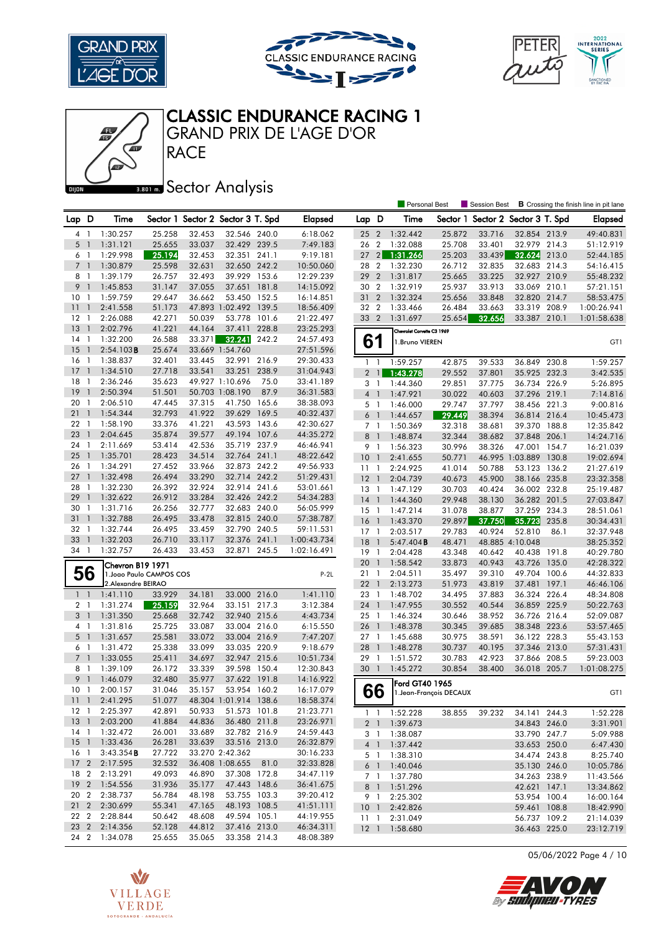





Personal Best **S** Session Best **B** Crossing the finish line in pit lane



CLASSIC ENDURANCE RACING 1

**Banks** Sector Analysis

| Lap            | D                        | Time                     |        |        | Sector 1 Sector 2 Sector 3 T. Spd |       | Elapsed     | Lap D           |                              | Time                       | Sector 1                |        | Sector 2 Sector 3 T. Spd |       | Elapsed     |
|----------------|--------------------------|--------------------------|--------|--------|-----------------------------------|-------|-------------|-----------------|------------------------------|----------------------------|-------------------------|--------|--------------------------|-------|-------------|
| 4 1            |                          | 1:30.257                 | 25.258 | 32.453 | 32.546 240.0                      |       | 6:18.062    | 25 2            |                              | 1:32.442                   | 25.872                  | 33.716 | 32.854 213.9             |       | 49:40.831   |
| 5              | $\overline{1}$           | 1:31.121                 | 25.655 | 33.037 | 32.429 239.5                      |       | 7:49.183    | 26 2            |                              | 1:32.088                   | 25.708                  | 33.401 | 32.979 214.3             |       | 51:12.919   |
| 6              | - 1                      | 1:29.998                 | 25.194 | 32.453 | 32.351 241.1                      |       | 9:19.181    | 27              | $\left  \frac{2}{2} \right $ | 1:31.266                   | 25.203                  | 33.439 | 32.624                   | 213.0 | 52:44.185   |
| 7 <sup>1</sup> |                          | 1:30.879                 | 25.598 | 32.631 | 32.650 242.2                      |       | 10:50.060   | 28 2            |                              | 1:32.230                   | 26.712                  | 32.835 | 32.683 214.3             |       | 54:16.415   |
| 8              | -1                       | 1:39.179                 | 26.757 | 32.493 | 39.929 153.6                      |       | 12:29.239   | 29              | $\overline{2}$               | 1:31.817                   | 25.665                  | 33.225 | 32.927 210.9             |       | 55:48.232   |
| 9              | $\overline{\phantom{a}}$ | 1:45.853                 | 31.147 | 37.055 | 37.651                            | 181.8 | 14:15.092   | 30 2            |                              | 1:32.919                   | 25.937                  | 33.913 | 33.069 210.1             |       | 57:21.151   |
| 10             | $\overline{1}$           | 1:59.759                 | 29.647 | 36.662 | 53.450 152.5                      |       | 16:14.851   | 31 2            |                              | 1:32.324                   | 25.656                  | 33.848 | 32.820 214.7             |       | 58:53.475   |
| 11             | $\mathbf{1}$             | 2:41.558                 | 51.173 |        | 47.893 1:02.492 139.5             |       | 18:56.409   | 32 2            |                              | 1:33.466                   | 26.484                  | 33.663 | 33.319                   | 208.9 | 1:00:26.941 |
| $12 \,$        | $\overline{1}$           | 2:26.088                 | 42.271 | 50.039 | 53.778                            | 101.6 | 21:22.497   | 33 2            |                              | 1:31.697                   | 25.654                  | 32.656 | 33.387 210.1             |       | 1:01:58.638 |
| 13             | $\overline{1}$           | 2:02.796                 | 41.221 | 44.164 | 37.411                            | 228.8 | 23:25.293   |                 |                              | Chevrolet Corvette C3 1969 |                         |        |                          |       |             |
| 14             | $\overline{1}$           | 1:32.200                 | 26.588 | 33.371 | 32.241                            | 242.2 | 24:57.493   | 61              |                              | 1. Bruno VIEREN            |                         |        |                          |       | GT1         |
| 15             | $\mathbf{1}$             | 2:54.103B                | 25.674 |        | 33.669 1:54.760                   |       | 27:51.596   |                 |                              |                            |                         |        |                          |       |             |
| 16             | -1                       | 1:38.837                 | 32.401 | 33.445 | 32.991 216.9                      |       | 29:30.433   | 1               | -1                           | 1:59.257                   | 42.875                  | 39.533 | 36.849                   | 230.8 | 1:59.257    |
| 17             | $\mathbf{1}$             | 1:34.510                 | 27.718 | 33.541 | 33.251 238.9                      |       | 31:04.943   |                 | $2 \mid$                     | 1:43.278                   | 29.552                  | 37.801 | 35.925 232.3             |       | 3:42.535    |
| 18             | -1                       | 2:36.246                 | 35.623 |        | 49.927 1:10.696                   | 75.0  | 33:41.189   | 3               | -1                           | 1:44.360                   | 29.851                  | 37.775 | 36.734 226.9             |       | 5:26.895    |
| 19             | $\mathbf{1}$             | 2:50.394                 | 51.501 |        | 50.703 1:08.190                   | 87.9  | 36:31.583   | 4               | $\mathbf{1}$                 | 1:47.921                   | 30.022                  | 40.603 | 37.296 219.1             |       | 7:14.816    |
| 20             | -1                       | 2:06.510                 | 47.445 | 37.315 | 41.750                            | 165.6 | 38:38.093   | 5 1             |                              | 1:46.000                   | 29.747                  | 37.797 | 38.456 221.3             |       | 9:00.816    |
| 21             | $\mathbf{1}$             | 1:54.344                 | 32.793 | 41.922 | 39.629 169.5                      |       | 40:32.437   | 6 <sup>1</sup>  |                              | 1:44.657                   | 29.449                  | 38.394 | 36.814 216.4             |       | 10:45.473   |
| 22             | -1                       | 1:58.190                 | 33.376 | 41.221 | 43.593                            | 143.6 | 42:30.627   | 7 1             |                              | 1:50.369                   | 32.318                  | 38.681 | 39.370 188.8             |       | 12:35.842   |
| 23             | $\mathbf{1}$             | 2:04.645                 | 35.874 | 39.577 | 49.194 107.6                      |       | 44:35.272   | 8               |                              | 1:48.874                   | 32.344                  | 38.682 | 37.848 206.1             |       | 14:24.716   |
| 24             | - 1                      | 2:11.669                 | 53.414 | 42.536 | 35.719 237.9                      |       | 46:46.941   | 9 1             |                              | 1:56.323                   | 30.996                  | 38.326 | 47.001 154.7             |       | 16:21.039   |
| 25             | $\overline{1}$           | 1:35.701                 | 28.423 | 34.514 | 32.764 241.1                      |       | 48:22.642   | 10 <sup>°</sup> | -1                           | 2:41.655                   | 50.771                  |        | 46.995 1:03.889 130.8    |       | 19:02.694   |
| 26             | $\overline{1}$           | 1:34.291                 | 27.452 | 33.966 | 32.873 242.2                      |       | 49:56.933   | 11              | $\overline{1}$               | 2:24.925                   | 41.014                  | 50.788 | 53.123 136.2             |       | 21:27.619   |
| 27             | $\overline{\phantom{a}}$ | 1:32.498                 | 26.494 | 33.290 | 32.714 242.2                      |       | 51:29.431   | 12              | $\overline{1}$               | 2:04.739                   | 40.673                  | 45.900 | 38.166 235.8             |       | 23:32.358   |
| 28             | -1                       | 1:32.230                 | 26.392 | 32.924 | 32.914 241.6                      |       | 53:01.661   | 13              | $\mathbf{1}$                 | 1:47.129                   | 30.703                  |        | 36.002 232.8             |       |             |
| 29             | $\mathbf{1}$             | 1:32.622                 | 26.912 | 33.284 | 32.426 242.2                      |       | 54:34.283   |                 | $\overline{1}$               | 1:44.360                   | 29.948                  | 40.424 |                          |       | 25:19.487   |
| 30             | $\mathbf{1}$             | 1:31.716                 | 26.256 | 32.777 | 32.683 240.0                      |       | 56:05.999   | 14              |                              |                            |                         | 38.130 | 36.282 201.5             |       | 27:03.847   |
| 31             | $\overline{\phantom{a}}$ | 1:32.788                 | 26.495 | 33.478 | 32.815 240.0                      |       | 57:38.787   | $15-1$          |                              | 1:47.214                   | 31.078                  | 38.877 | 37.259 234.3             |       | 28:51.061   |
| 32             | -1                       | 1:32.744                 | 26.495 | 33.459 | 32.790 240.5                      |       | 59:11.531   | $16-1$          |                              | 1:43.370                   | 29.897                  | 37.750 | 35.723                   | 235.8 | 30:34.431   |
| 33             | $\overline{\phantom{a}}$ | 1:32.203                 | 26.710 | 33.117 | 32.376 241.1                      |       | 1:00:43.734 | $17-1$          |                              | 2:03.517                   | 29.783                  | 40.924 | 52.810                   | 86.1  | 32:37.948   |
| 34 1           |                          | 1:32.757                 | 26.433 | 33.453 | 32.871                            | 245.5 | 1:02:16.491 | 18              | $\overline{1}$               | $5:47.404$ B               | 48.471                  |        | 48.885 4:10.048          |       | 38:25.352   |
|                |                          |                          |        |        |                                   |       |             | 19              | -1                           | 2:04.428                   | 43.348                  | 40.642 | 40.438 191.8             |       | 40:29.780   |
|                |                          | Chevron B19 1971         |        |        |                                   |       |             | 20              | $\overline{1}$               | 1:58.542                   | 33.873                  | 40.943 | 43.726 135.0             |       | 42:28.322   |
|                | 56                       | 1. Joao Paulo CAMPOS COS |        |        |                                   |       | $P-2L$      | 21              | -1                           | 2:04.511                   | 35.497                  | 39.310 | 49.704 100.6             |       | 44:32.833   |
|                |                          | 2.Alexandre BEIRAO       |        |        |                                   |       |             | 22              | $\overline{1}$               | 2:13.273                   | 51.973                  | 43.819 | 37.481                   | 197.1 | 46:46.106   |
| $1\quad1$      |                          | 1:41.110                 | 33.929 | 34.181 | 33.000 216.0                      |       | 1:41.110    | 23              | $\overline{1}$               | 1:48.702                   | 34.495                  | 37.883 | 36.324 226.4             |       | 48:34.808   |
| 2 <sub>1</sub> |                          | 1:31.274                 | 25.159 | 32.964 | 33.151 217.3                      |       | 3:12.384    | 24 1            |                              | 1:47.955                   | 30.552                  | 40.544 | 36.859 225.9             |       | 50:22.763   |
| 3 <sup>1</sup> |                          | 1:31.350                 | 25.668 | 32.742 | 32.940 215.6                      |       | 4:43.734    | 25 1            |                              | 1:46.324                   | 30.646                  | 38.952 | 36.726 216.4             |       | 52:09.087   |
| 4 1            |                          | 1:31.816                 | 25.725 | 33.087 | 33.004 216.0                      |       | 6:15.550    | 26              | $\mathbf{1}$                 | 1:48.378                   | 30.345                  | 39.685 | 38.348 223.6             |       | 53:57.465   |
| 5 <sub>1</sub> |                          | 1:31.657                 | 25.581 | 33.072 | 33.004 216.9                      |       | 7:47.207    | 27 1            |                              | 1:45.688                   | 30.975                  | 38.591 | 36.122 228.3             |       | 55:43.153   |
| 6              | - 1                      | 1:31.472                 | 25.338 | 33.099 | 33.035 220.9                      |       | 9:18.679    | 28              | $\overline{1}$               | 1:48.278                   | 30.737                  | 40.195 | 37.346 213.0             |       | 57:31.431   |
| $7-1$          |                          | 1:33.055                 | 25.411 | 34.697 | 32.947 215.6                      |       | 10:51.734   | 29 1            |                              | 1:51.572                   | 30.783                  | 42.923 | 37.866 208.5             |       | 59:23.003   |
| 8              | $\overline{1}$           | 1:39.109                 | 26.172 | 33.339 | 39.598 150.4                      |       | 12:30.843   | 30              | $\overline{1}$               | 1:45.272                   | 30.854                  | 38.400 | 36.018 205.7             |       | 1:01:08.275 |
| 9              | $\overline{1}$           | 1:46.079                 | 32.480 | 35.977 | 37.622 191.8                      |       | 14:16.922   |                 |                              | Ford GT40 1965             |                         |        |                          |       |             |
| 10             | -1                       | 2:00.157                 | 31.046 | 35.157 | 53.954 160.2                      |       | 16:17.079   |                 | 66                           |                            | 1. Jean-François DECAUX |        |                          |       | GT1         |
| 11             | $\overline{\phantom{a}}$ | 2:41.295                 | 51.077 |        | 48.304 1:01.914 138.6             |       | 18:58.374   |                 |                              |                            |                         |        |                          |       |             |
|                |                          | 12 1 2:25.397            | 42.891 | 50.933 | 51.573 101.8                      |       | 21:23.771   |                 |                              | $1 \quad 1 \quad 1:52.228$ | 38.855                  | 39.232 | 34.141 244.3             |       | 1:52.228    |
| $13-1$         |                          | 2:03.200                 | 41.884 | 44.836 | 36.480 211.8                      |       | 23:26.971   |                 |                              | 2 1 1:39.673               |                         |        | 34.843 246.0             |       | 3:31.901    |
|                |                          | 14 1 1:32.472            | 26.001 | 33.689 | 32.782 216.9                      |       | 24:59.443   |                 | 3 1                          | 1:38.087                   |                         |        | 33.790 247.7             |       | 5:09.988    |
|                |                          | 15 1 1:33.436            | 26.281 | 33.639 | 33.516 213.0                      |       | 26:32.879   |                 |                              | 4 1 1:37.442               |                         |        | 33.653 250.0             |       | 6:47.430    |
| $16-1$         |                          | 3:43.354B                | 27.722 |        | 33.270 2:42.362                   |       | 30:16.233   |                 |                              | 5 1 1:38.310               |                         |        | 34.474 243.8             |       | 8:25.740    |
|                |                          | 17 2 2:17.595            | 32.532 |        | 36.408 1:08.655                   | 81.0  | 32:33.828   |                 |                              | 6 1 1:40.046               |                         |        | 35.130 246.0             |       | 10:05.786   |
|                |                          | 18 2 2:13.291            | 49.093 | 46.890 | 37.308 172.8                      |       | 34:47.119   |                 | 7 1                          | 1:37.780                   |                         |        | 34.263 238.9             |       | 11:43.566   |
|                |                          | 19 2 1:54.556            | 31.936 | 35.177 | 47.443 148.6                      |       | 36:41.675   | 8 1             |                              | 1:51.296                   |                         |        | 42.621 147.1             |       | 13:34.862   |
|                |                          | 20 2 2:38.737            | 56.784 | 48.198 | 53.755 103.3                      |       | 39:20.412   |                 | 9 1                          | 2:25.302                   |                         |        | 53.954 100.4             |       | 16:00.164   |
|                |                          | 21 2 2:30.699            | 55.341 | 47.165 | 48.193 108.5                      |       | 41:51.111   |                 |                              | 10 1 2:42.826              |                         |        | 59.461 108.8             |       | 18:42.990   |
|                |                          | 22 2 2:28.844            | 50.642 | 48.608 | 49.594 105.1                      |       | 44:19.955   |                 |                              | 11 1 2:31.049              |                         |        | 56.737 109.2             |       | 21:14.039   |
|                |                          | 23 2 2:14.356            | 52.128 | 44.812 | 37.416 213.0                      |       | 46:34.311   |                 |                              | 12 1 1:58.680              |                         |        | 36.463 225.0             |       | 23:12.719   |
|                |                          | 24 2 1:34.078            | 25.655 | 35.065 | 33.358 214.3                      |       | 48:08.389   |                 |                              |                            |                         |        |                          |       |             |



V

**VILLAGE** 

**VERDE** SOTOGRANDE - ANDALUCÍA

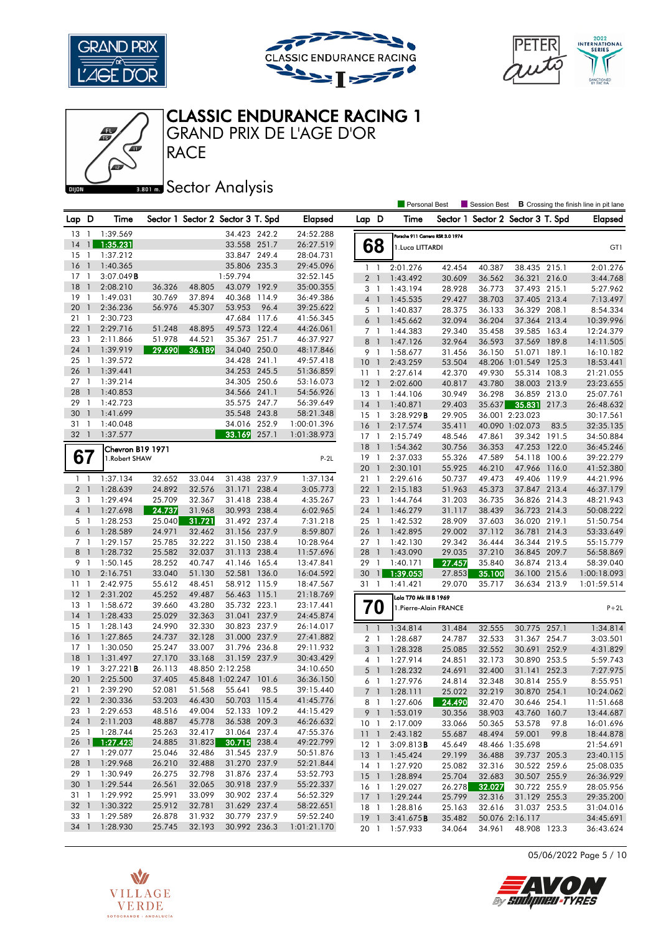







GRAND PRIX DE L'AGE D'OR

V

**VILLAGE** 

**VERDE** SOTOGRANDE - ANDALUCÍA

Æ

### **Banks** Sector Analysis

**RACE** 

|                 |                          |                     |        |                                   |                 |       |                |                 |                          | <b>Personal Best</b>             |        | <b>Session Best</b>               |                       |       | <b>B</b> Crossing the finish line in pit lane |
|-----------------|--------------------------|---------------------|--------|-----------------------------------|-----------------|-------|----------------|-----------------|--------------------------|----------------------------------|--------|-----------------------------------|-----------------------|-------|-----------------------------------------------|
| Lap D           |                          | Time                |        | Sector 1 Sector 2 Sector 3 T. Spd |                 |       | <b>Elapsed</b> | Lap D           |                          | Time                             |        | Sector 1 Sector 2 Sector 3 T. Spd |                       |       | <b>Elapsed</b>                                |
| 13              | $\overline{1}$           | 1:39.569            |        |                                   | 34.423 242.2    |       | 24:52.288      |                 |                          | Porsche 911 Carrera RSR 3.0 1974 |        |                                   |                       |       |                                               |
| 14              | $\mathbf{1}$             | 1:35.231            |        |                                   | 33.558 251.7    |       | 26:27.519      |                 | 68                       | 1. Luca LITTARDI                 |        |                                   |                       |       | GT1                                           |
| 15              | 1                        | 1:37.212            |        |                                   | 33.847 249.4    |       | 28:04.731      |                 |                          |                                  |        |                                   |                       |       |                                               |
| 16              | $\overline{1}$           | 1:40.365            |        |                                   | 35.806 235.3    |       | 29:45.096      |                 | $1\quad$                 | 2:01.276                         | 42.454 | 40.387                            | 38.435 215.1          |       | 2:01.276                                      |
| 17              | $\overline{\phantom{a}}$ | 3:07.049B           |        |                                   | 1:59.794        |       | 32:52.145      |                 | 2 <sub>1</sub>           | 1:43.492                         | 30.609 | 36.562                            | 36.321 216.0          |       | 3:44.768                                      |
| 18              | $\mathbf{1}$             | 2:08.210            | 36.326 | 48.805                            | 43.079          | 192.9 | 35:00.355      |                 | $3-1$                    | 1:43.194                         | 28.928 | 36.773                            | 37.493 215.1          |       | 5:27.962                                      |
| 19              | $\overline{1}$           | 1:49.031            | 30.769 | 37.894                            | 40.368 114.9    |       | 36:49.386      |                 | $4-1$                    | 1:45.535                         | 29.427 | 38.703                            | 37.405 213.4          |       | 7:13.497                                      |
| 20              | $\mathbf{1}$             | 2:36.236            | 56.976 | 45.307                            | 53.953          | 96.4  | 39:25.622      |                 | 5 <sub>1</sub>           | 1:40.837                         | 28.375 | 36.133                            | 36.329 208.1          |       | 8:54.334                                      |
| 21              | $\mathbf{1}$             | 2:30.723            |        |                                   | 47.684 117.6    |       | 41:56.345      | 6               | $\overline{1}$           | 1:45.662                         | 32.094 | 36.204                            | 37.364                | 213.4 | 10:39.996                                     |
| 22              | $\overline{1}$           | 2:29.716            | 51.248 | 48.895                            | 49.573 122.4    |       | 44:26.061      |                 | 7 <sub>1</sub>           | 1:44.383                         | 29.340 | 35.458                            | 39.585 163.4          |       | 12:24.379                                     |
| 23              | -1                       | 2:11.866            | 51.978 | 44.521                            | 35.367 251.7    |       | 46:37.927      |                 | 8 <sup>1</sup>           | 1:47.126                         | 32.964 | 36.593                            | 37.569 189.8          |       | 14:11.505                                     |
| 24              | -1                       | 1:39.919            | 29.690 | 36.189                            | 34.040 250.0    |       | 48:17.846      | 9               | $\overline{1}$           | 1:58.677                         | 31.456 | 36.150                            | 51.071                | 189.1 | 16:10.182                                     |
| 25              | -1                       | 1:39.572            |        |                                   | 34.428 241.1    |       | 49:57.418      | 10 <sub>1</sub> |                          | 2:43.259                         | 53.504 |                                   | 48.206 1:01.549 125.3 |       | 18:53.441                                     |
| 26              | $\overline{1}$           | 1:39.441            |        |                                   | 34.253 245.5    |       | 51:36.859      | $11-1$          |                          | 2:27.614                         | 42.370 | 49.930                            | 55.314 108.3          |       | 21:21.055                                     |
| 27              | $\mathbf{1}$             | 1:39.214            |        |                                   | 34.305 250.6    |       | 53:16.073      | 12              | $\overline{1}$           | 2:02.600                         | 40.817 | 43.780                            | 38.003 213.9          |       | 23:23.655                                     |
| 28              | $\mathbf{1}$             | 1:40.853            |        |                                   | 34.566 241.1    |       | 54:56.926      | $13-1$          |                          | 1:44.106                         | 30.949 | 36.298                            | 36.859 213.0          |       | 25:07.761                                     |
| 29              | - 1                      | 1:42.723            |        |                                   | 35.575 247.7    |       | 56:39.649      | $14-1$          |                          | 1:40.871                         | 29.403 | 35.637                            | 35.831 217.3          |       | 26:48.632                                     |
| 30              | $\overline{1}$           | 1:41.699            |        |                                   | 35.548 243.8    |       | 58:21.348      | 15              | $\overline{\phantom{a}}$ | 3:28.929B                        | 29.905 |                                   | 36.001 2:23.023       |       | 30:17.561                                     |
| 31              | $\overline{1}$           | 1:40.048            |        |                                   | 34.016 252.9    |       | 1:00:01.396    | $16-1$          |                          | 2:17.574                         | 35.411 |                                   | 40.090 1:02.073       | 83.5  | 32:35.135                                     |
| 32 <sub>1</sub> |                          | 1:37.577            |        |                                   | 33.169          | 257.1 | 1:01:38.973    | $17-1$          |                          | 2:15.749                         | 48.546 | 47.861                            | 39.342 191.5          |       | 34:50.884                                     |
|                 |                          | Chevron B19 1971    |        |                                   |                 |       |                | $18-1$          |                          | 1:54.362                         | 30.756 | 36.353                            | 47.253                | 122.0 | 36:45.246                                     |
| 67              |                          | 1. Robert SHAW      |        |                                   |                 |       | $P-2L$         | 19              | $\mathbf{1}$             | 2:37.033                         | 55.326 | 47.589                            | 54.118 100.6          |       | 39:22.279                                     |
|                 |                          |                     |        |                                   |                 |       |                | 20              | $\overline{1}$           | 2:30.101                         | 55.925 | 46.210                            | 47.966                | 116.0 | 41:52.380                                     |
| $1\quad$        |                          | 1:37.134            | 32.652 | 33.044                            | 31.438 237.9    |       | 1:37.134       | 21              | $\mathbf{1}$             | 2:29.616                         | 50.737 | 49.473                            | 49.406 119.9          |       | 44:21.996                                     |
| 2 <sub>1</sub>  |                          | 1:28.639            | 24.892 | 32.576                            | 31.171 238.4    |       | 3:05.773       | $22 \quad 1$    |                          | 2:15.183                         | 51.963 | 45.373                            | 37.847 213.4          |       | 46:37.179                                     |
| 3 1             |                          | 1:29.494            | 25.709 | 32.367                            | 31.418 238.4    |       | 4:35.267       | 23 1            |                          | 1:44.764                         | 31.203 | 36.735                            | 36.826                | 214.3 | 48:21.943                                     |
| 4 <sub>1</sub>  |                          | 1:27.698            | 24.737 | 31.968                            | 30.993 238.4    |       | 6:02.965       | 24 1            |                          | 1:46.279                         | 31.117 | 38.439                            | 36.723 214.3          |       | 50:08.222                                     |
| 5 1             |                          | 1:28.253            | 25.040 | 31.721                            | 31.492 237.4    |       | 7:31.218       | 25 <sub>1</sub> |                          | 1:42.532                         | 28.909 | 37.603                            | 36.020 219.1          |       | 51:50.754                                     |
| 6 <sup>1</sup>  |                          | 1:28.589            | 24.971 | 32.462                            | 31.156 237.9    |       | 8:59.807       | 26              | $\mathbf{1}$             | 1:42.895                         | 29.002 | 37.112                            | 36.781                | 214.3 | 53:33.649                                     |
| 7 <sub>1</sub>  |                          | 1:29.157            | 25.785 | 32.222                            | 31.150 238.4    |       | 10:28.964      | $27-1$          |                          | 1:42.130                         | 29.342 | 36.444                            | 36.344 219.5          |       | 55:15.779                                     |
| 8               | $\overline{1}$           | 1:28.732            | 25.582 | 32.037                            | 31.113 238.4    |       | 11:57.696      | 28              | $\overline{1}$           | 1:43.090                         | 29.035 | 37.210                            | 36.845 209.7          |       | 56:58.869                                     |
| 9 1             |                          | 1:50.145            | 28.252 | 40.747                            | 41.146 165.4    |       | 13:47.841      | 29 1            |                          | 1:40.171                         | 27.457 | 35.840                            | 36.874 213.4          |       | 58:39.040                                     |
| 10              | $\overline{1}$           | 2:16.751            | 33.040 | 51.130                            | 52.581          | 136.0 | 16:04.592      | 30              | $\overline{1}$           | 1:39.053                         | 27.853 | 35.100                            | 36.100                | 215.6 | 1:00:18.093                                   |
| 11              | $\mathbf{1}$             | 2:42.975            | 55.612 | 48.451                            | 58.912 115.9    |       | 18:47.567      | 31 1            |                          | 1:41.421                         | 29.070 | 35.717                            | 36.634 213.9          |       | 1:01:59.514                                   |
| 12              | $\mathbf{1}$             | 2:31.202            | 45.252 | 49.487                            | 56.463 115.1    |       | 21:18.769      |                 |                          | Lola T70 Mk III B 1969           |        |                                   |                       |       |                                               |
| 13              | 1                        | 1:58.672            | 39.660 | 43.280                            | 35.732 223.1    |       | 23:17.441      |                 | 70                       | 1. Pierre-Alain FRANCE           |        |                                   |                       |       | $P+2L$                                        |
| 14              | $\mathbf{1}$             | 1:28.433            | 25.029 | 32.363                            | 31.041 237.9    |       | 24:45.874      |                 |                          |                                  |        |                                   |                       |       |                                               |
| 15              | $\overline{1}$           | 1:28.143            | 24.990 | 32.330                            | 30.823 237.9    |       | 26:14.017      | $\mathbf{1}$    | $\overline{1}$           | 1:34.814                         | 31.484 | 32.555                            | 30.775 257.1          |       | 1:34.814                                      |
| 16              | $\overline{1}$           | 1:27.865            | 24.737 | 32.128                            | 31.000 237.9    |       | 27:41.882      |                 | 2 <sub>1</sub>           | 1:28.687                         | 24.787 | 32.533                            | 31.367 254.7          |       | 3:03.501                                      |
| 17              | $\overline{1}$           | 1:30.050            | 25.247 | 33.007                            | 31.796 236.8    |       | 29:11.932      | 3               | -1                       | 1:28.328                         | 25.085 | 32.552                            | 30.691 252.9          |       | 4:31.829                                      |
| 18              | $\overline{1}$           | 1:31.497            | 27.170 | 33.168                            | 31.159 237.9    |       | 30:43.429      |                 | $4-1$                    | 1:27.914                         | 24.851 | 32.173                            | 30.890                | 253.5 | 5:59.743                                      |
| 19              | -1                       | $3:27.221$ <b>B</b> | 26.113 |                                   | 48.850 2:12.258 |       | 34:10.650      |                 | 5 <sub>1</sub>           | 1:28.232                         | 24.691 | 32.400                            | 31.141                | 252.3 | 7:27.975                                      |
| 20              | $\mathbf{1}$             | 2:25.500            | 37.405 |                                   | 45.848 1:02.247 | 101.6 | 36:36.150      |                 | 6 1                      | 1:27.976                         | 24.814 | 32.348                            | 30.814                | 255.9 | 8:55.951                                      |
| $21 \quad 1$    |                          | 2:39.290            | 52.081 | 51.568                            | 55.641          | 98.5  | 39:15.440      |                 | 7 1                      | 1:28.111                         | 25.022 | 32.219                            | 30.870 254.1          |       | 10:24.062                                     |
|                 |                          | 22 1 2:30.336       | 53.203 | 46.430                            | 50.703 115.4    |       | 41:45.776      |                 | 8 1                      | 1:27.606                         | 24.490 | 32.470                            | 30.646 254.1          |       | 11:51.668                                     |
|                 |                          | 23 1 2:29.653       | 48.516 | 49.004                            | 52.133 109.2    |       | 44:15.429      |                 |                          | 9 1 1:53.019                     | 30.356 | 38.903                            | 43.760 160.7          |       | 13:44.687                                     |
| 24 1            |                          | 2:11.203            | 48.887 | 45.778                            | 36.538 209.3    |       | 46:26.632      |                 | 10 <sub>1</sub>          | 2:17.009                         | 33.066 | 50.365                            | 53.578                | 97.8  | 16:01.696                                     |
|                 |                          | 25 1 1:28.744       | 25.263 | 32.417                            | 31.064 237.4    |       | 47:55.376      |                 | $11-1$                   | 2:43.182                         | 55.687 | 48.494                            | 59.001                | 99.8  | 18:44.878                                     |
|                 |                          | 26 1 1:27.423       | 24.885 | 31.823                            | 30.715 238.4    |       | 49:22.799      | $12-1$          |                          | 3:09.813B                        | 45.649 |                                   | 48.466 1:35.698       |       | 21:54.691                                     |
|                 |                          | 27 1 1:29.077       | 25.046 | 32.486                            | 31.545 237.9    |       | 50:51.876      |                 | 13 <sup>1</sup>          | 1:45.424                         | 29.199 | 36.488                            | 39.737 205.3          |       | 23:40.115                                     |
|                 |                          | 28 1 1:29.968       | 26.210 | 32.488                            | 31.270 237.9    |       | 52:21.844      | $14-1$          |                          | 1:27.920                         | 25.082 | 32.316                            | 30.522 259.6          |       | 25:08.035                                     |
|                 |                          | 29 1 1:30.949       | 26.275 | 32.798                            | 31.876 237.4    |       | 53:52.793      |                 |                          | 15 1 1:28.894                    | 25.704 | 32.683                            | 30.507 255.9          |       | 26:36.929                                     |
|                 |                          | 30 1 1:29.544       | 26.561 | 32.065                            | 30.918 237.9    |       | 55:22.337      |                 |                          | 16 1 1:29.027                    | 26.278 | 32.027                            | 30.722 255.9          |       | 28:05.956                                     |
| 31 1            |                          | 1:29.992            | 25.991 | 33.099                            | 30.902 237.4    |       | 56:52.329      |                 |                          | 17 1 1:29.244                    | 25.799 | 32.316                            | 31.129 255.3          |       | 29:35.200                                     |
|                 |                          | 32 1 1:30.322       | 25.912 | 32.781                            | 31.629 237.4    |       | 58:22.651      | 18 1            |                          | 1:28.816                         | 25.163 | 32.616                            | 31.037 253.5          |       | 31:04.016                                     |
|                 |                          | 33 1 1:29.589       | 26.878 | 31.932                            | 30.779 237.9    |       | 59:52.240      | $19-1$          |                          | 3:41.675B                        | 35.482 |                                   | 50.076 2:16.117       |       | 34:45.691                                     |
|                 |                          | 34 1 1:28.930       | 25.745 | 32.193                            | 30.992 236.3    |       | 1:01:21.170    | 20 1            |                          | 1:57.933                         | 34.064 | 34.961                            | 48.908 123.3          |       | 36:43.624                                     |

05/06/2022 Page 5 / 10

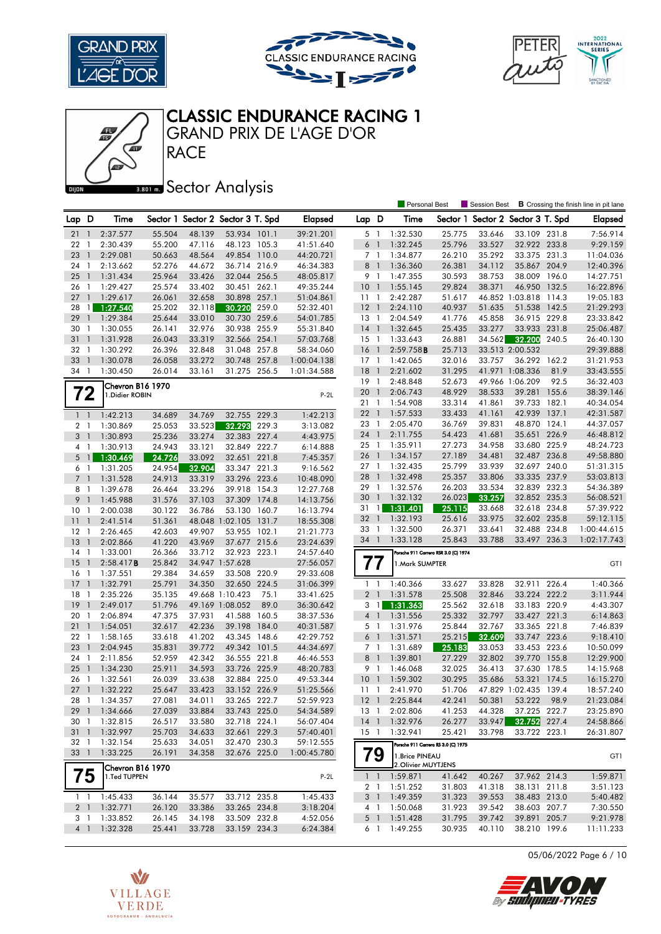





# CLASSIC ENDURANCE RACING 1

GRAND PRIX DE L'AGE D'OR

**RACE** 

Æ

### **Banks** Sector Analysis

|                                  |                |                                  |                  |                  |                                   |       |                        |                 |                | <b>Personal Best</b>                |                                      | <b>Session Best</b> |                                   |       | <b>B</b> Crossing the finish line in pit lane |
|----------------------------------|----------------|----------------------------------|------------------|------------------|-----------------------------------|-------|------------------------|-----------------|----------------|-------------------------------------|--------------------------------------|---------------------|-----------------------------------|-------|-----------------------------------------------|
| Lap D                            |                | Time                             |                  |                  | Sector 1 Sector 2 Sector 3 T. Spd |       | <b>Elapsed</b>         | Lap D           |                | Time                                |                                      |                     | Sector 1 Sector 2 Sector 3 T. Spd |       | <b>Elapsed</b>                                |
| 21                               | -1             | 2:37.577                         | 55.504           | 48.139           | 53.934 101.1                      |       | 39:21.201              | 5 1             |                | 1:32.530                            | 25.775                               | 33.646              | 33.109 231.8                      |       | 7:56.914                                      |
| 22 1                             |                | 2:30.439                         | 55.200           | 47.116           | 48.123 105.3                      |       | 41:51.640              | 6               | $\overline{1}$ | 1:32.245                            | 25.796                               | 33.527              | 32.922 233.8                      |       | 9:29.159                                      |
| 23                               | $\mathbf{1}$   | 2:29.081                         | 50.663           | 48.564           | 49.854 110.0                      |       | 44:20.721              | 7 1             |                | 1:34.877                            | 26.210                               | 35.292              | 33.375 231.3                      |       | 11:04.036                                     |
| 24                               | $\mathbf{1}$   | 2:13.662                         | 52.276           | 44.672           | 36.714 216.9                      |       | 46:34.383              | 8 <sup>1</sup>  |                | 1:36.360                            | 26.381                               | 34.112              | 35.867 204.9                      |       | 12:40.396                                     |
| 25                               | $\overline{1}$ | 1:31.434                         | 25.964           | 33.426           | 32.044 256.5                      |       | 48:05.817              | 9 1             |                | 1:47.355                            | 30.593                               | 38.753              | 38.009 196.0                      |       | 14:27.751                                     |
| 26                               | $\overline{1}$ | 1:29.427                         | 25.574           | 33.402           | 30.451 262.1                      |       | 49:35.244              | 10 <sub>1</sub> |                | 1:55.145                            | 29.824                               | 38.371              | 46.950 132.5                      |       | 16:22.896                                     |
| 27                               | $\overline{1}$ | 1:29.617                         | 26.061           | 32.658           | 30.898                            | 257.1 | 51:04.861              | $11-1$          |                | 2:42.287                            | 51.617                               |                     | 46.852 1:03.818 114.3             |       | 19:05.183                                     |
| 28                               | $\mathbf{1}$   | 1:27.540                         | 25.202           | 32.118           | 30.220                            | 259.0 | 52:32.401              | 12              | $\overline{1}$ | 2:24.110                            | 40.937                               | 51.635              | 51.538 142.5                      |       | 21:29.293                                     |
| 29                               | $\mathbf{1}$   | 1:29.384                         | 25.644           | 33.010           | 30.730                            | 259.6 | 54:01.785              | 13              | $\overline{1}$ | 2:04.549                            | 41.776                               | 45.858              | 36.915 229.8                      |       | 23:33.842                                     |
| 30                               | $\mathbf{1}$   | 1:30.055                         | 26.141           | 32.976           | 30.938                            | 255.9 | 55:31.840              | $14-1$          |                | 1:32.645                            | 25.435                               | 33.277              | 33.933 231.8                      |       | 25:06.487                                     |
| 31                               | $\mathbf{1}$   | 1:31.928                         | 26.043           | 33.319           | 32.566 254.1                      |       | 57:03.768              | $15-1$          |                | 1:33.643                            | 26.881                               | 34.562              | 32.200                            | 240.5 | 26:40.130                                     |
| 32 1                             |                | 1:30.292                         | 26.396           | 32.848           | 31.048 257.8                      |       | 58:34.060              | <b>16</b>       | $\overline{1}$ | 2:59.758B                           | 25.713                               |                     | 33.513 2:00.532                   |       | 29:39.888                                     |
| 33                               | $\overline{1}$ | 1:30.078                         | 26.058           | 33.272           | 30.748                            | 257.8 | 1:00:04.138            | $17-1$          |                | 1:42.065                            | 32.016                               | 33.757              | 36.292 162.2                      |       | 31:21.953                                     |
| 34 1                             |                | 1:30.450                         | 26.014           | 33.161           | 31.275 256.5                      |       | 1:01:34.588            | 18              | $\overline{1}$ | 2:21.602                            | 31.295                               |                     | 41.971 1:08.336                   | 81.9  | 33:43.555                                     |
|                                  |                |                                  |                  |                  |                                   |       |                        | $19-1$          |                | 2:48.848                            | 52.673                               |                     | 49.966 1:06.209                   | 92.5  | 36:32.403                                     |
|                                  |                | Chevron B16 1970                 |                  |                  |                                   |       |                        | 20              | $\overline{1}$ | 2:06.743                            | 48.929                               | 38.533              | 39.281                            | 155.6 | 38:39.146                                     |
| 72                               |                | 1. Didier ROBIN                  |                  |                  |                                   |       | $P-2L$                 | 211             |                | 1:54.908                            | 33.314                               | 41.861              | 39.733 182.1                      |       | 40:34.054                                     |
| $1\quad$                         |                | 1:42.213                         | 34.689           | 34.769           | 32.755 229.3                      |       | 1:42.213               | $22 \quad 1$    |                | 1:57.533                            | 33.433                               | 41.161              | 42.939                            | 137.1 | 42:31.587                                     |
|                                  |                | 1:30.869                         |                  |                  | 32.293                            | 229.3 |                        | 23 1            |                | 2:05.470                            | 36.769                               | 39.831              | 48.870 124.1                      |       | 44:37.057                                     |
| 2 <sub>1</sub><br>3 <sub>1</sub> |                |                                  | 25.053           | 33.523           |                                   |       | 3:13.082               | 24 1            |                | 2:11.755                            | 54.423                               | 41.681              | 35.651                            | 226.9 | 46:48.812                                     |
| 4 1                              |                | 1:30.893<br>1:30.913             | 25.236<br>24.943 | 33.274<br>33.121 | 32.383 227.4<br>32.849 222.7      |       | 4:43.975<br>6:14.888   | 25              | $\overline{1}$ | 1:35.911                            | 27.273                               | 34.958              | 33.680 225.9                      |       | 48:24.723                                     |
|                                  |                | 1:30.469                         |                  |                  |                                   |       |                        | 26 1            |                | 1:34.157                            | 27.189                               | 34.481              | 32.487 236.8                      |       | 49:58.880                                     |
| 6 <sub>1</sub>                   | $5 \text{ } 1$ | 1:31.205                         | 24.726           | 33.092           | 32.651 221.8<br>33.347 221.3      |       | 7:45.357               | $27-1$          |                | 1:32.435                            | 25.799                               | 33.939              | 32.697 240.0                      |       | 51:31.315                                     |
| 7 <sub>1</sub>                   |                | 1:31.528                         | 24.954<br>24.913 | 32.904<br>33.319 | 33.296 223.6                      |       | 9:16.562<br>10:48.090  | 28              | $\overline{1}$ | 1:32.498                            | 25.357                               | 33.806              | 33.335 237.9                      |       | 53:03.813                                     |
|                                  |                |                                  |                  |                  | 39.918 154.3                      |       |                        | 29              | $\overline{1}$ | 1:32.576                            | 26.203                               | 33.534              | 32.839 232.3                      |       | 54:36.389                                     |
| 8 1<br>9                         | $\overline{1}$ | 1:39.678<br>1:45.988             | 26.464<br>31.576 | 33.296<br>37.103 | 37.309                            | 174.8 | 12:27.768              | 30              | $\overline{1}$ | 1:32.132                            | 26.023                               | 33.257              | 32.852 235.3                      |       | 56:08.521                                     |
| 10                               | $\overline{1}$ | 2:00.038                         | 30.122           | 36.786           | 53.130 160.7                      |       | 14:13.756<br>16:13.794 | 31              | $\overline{1}$ | 1:31.401                            | 25.115                               | 33.668              | 32.618                            | 234.8 | 57:39.922                                     |
| 11                               | $\mathbf{1}$   | 2:41.514                         | 51.361           |                  | 48.048 1:02.105                   | 131.7 | 18:55.308              | 32              | $\overline{1}$ | 1:32.193                            | 25.616                               | 33.975              | 32.602 235.8                      |       | 59:12.115                                     |
| 12                               | $\mathbf{1}$   | 2:26.465                         | 42.603           | 49.907           | 53.955 102.1                      |       | 21:21.773              | 33 1            |                | 1:32.500                            | 26.371                               | 33.641              | 32.488 234.8                      |       | 1:00:44.615                                   |
| 13                               | $\mathbf{1}$   | 2:02.866                         | 41.220           | 43.969           | 37.677 215.6                      |       | 23:24.639              | 34 1            |                | 1:33.128                            | 25.843                               | 33.788              | 33.497 236.3                      |       | 1:02:17.743                                   |
| 14                               | $\overline{1}$ | 1:33.001                         | 26.366           | 33.712           | 32.923 223.1                      |       | 24:57.640              |                 |                |                                     | Porsche 911 Carrera RSR 3.0 (C) 1974 |                     |                                   |       |                                               |
| 15                               | $\mathbf{1}$   | 2:58.417B                        | 25.842           |                  | 34.947 1:57.628                   |       | 27:56.057              | 77              |                | 1.Mark SUMPTER                      |                                      |                     |                                   |       | GT1                                           |
| 16                               | - 1            | 1:37.551                         | 29.384           | 34.659           | 33.508                            | 220.9 | 29:33.608              |                 |                |                                     |                                      |                     |                                   |       |                                               |
| 17                               | $\overline{1}$ | 1:32.791                         | 25.791           | 34.350           | 32.650                            | 224.5 | 31:06.399              | $1\quad$        |                | 1:40.366                            | 33.627                               | 33.828              | 32.911 226.4                      |       | 1:40.366                                      |
| 18                               | $\mathbf{1}$   | 2:35.226                         | 35.135           |                  | 49.668 1:10.423                   | 75.1  | 33:41.625              | 2 <sub>1</sub>  |                | 1:31.578                            | 25.508                               | 32.846              | 33.224 222.2                      |       | 3:11.944                                      |
| 19                               | $\mathbf{1}$   | 2:49.017                         | 51.796           |                  | 49.169 1:08.052                   | 89.0  | 36:30.642              | 3               | $\vert$        | 1:31.363                            | 25.562                               | 32.618              | 33.183 220.9                      |       | 4:43.307                                      |
| 20                               | $\mathbf{1}$   | 2:06.894                         | 47.375           | 37.931           | 41.588                            | 160.5 | 38:37.536              | 4 <sup>1</sup>  |                | 1:31.556                            | 25.332                               | 32.797              | 33.427 221.3                      |       | 6:14.863                                      |
| 21                               | $\overline{1}$ | 1:54.051                         | 32.617           | 42.236           | 39.198                            | 184.0 | 40:31.587              | 5 1             |                | 1:31.976                            | 25.844                               | 32.767              | 33.365 221.8                      |       | 7:46.839                                      |
| 22                               | $\overline{1}$ | 1:58.165                         | 33.618           | 41.202           | 43.345 148.6                      |       | 42:29.752              | $6-1$           |                | 1:31.571                            | 25.215                               | 32.609              | 33.747 223.6                      |       | 9:18.410                                      |
| 23                               | $\overline{1}$ | 2:04.945                         | 35.831           | 39.772           | 49.342                            | 101.5 | 44:34.697              | 7 1             |                | 1:31.689                            | 25.183                               | 33.053              | 33.453 223.6                      |       | 10:50.099                                     |
| 24                               | $\mathbf{1}$   | 2:11.856                         | 52.959           | 42.342           | 36.555 221.8                      |       | 46:46.553              | 8 <sup>1</sup>  |                | 1:39.801                            | 27.229                               | 32.802              | 39.770 155.8                      |       | 12:29.900                                     |
| 25                               | $\overline{1}$ | 1:34.230                         | 25.911           | 34.593           | 33.726 225.9                      |       | 48:20.783              | 9 1             |                | 1:46.068                            | 32.025                               | 36.413              | 37.630 178.5                      |       | 14:15.968                                     |
| 26                               | -1             | 1:32.561                         | 26.039           | 33.638           | 32.884 225.0                      |       | 49:53.344              | 10              | $\overline{1}$ | 1:59.302                            | 30.295                               | 35.686              | 53.321                            | 174.5 | 16:15.270                                     |
| 27                               | $\overline{1}$ | 1:32.222                         | 25.647           | 33.423           | 33.152 226.9                      |       | 51:25.566              | 11 <sub>1</sub> |                | 2:41.970                            | 51.706                               |                     | 47.829 1:02.435 139.4             |       | 18:57.240                                     |
|                                  |                | 28 1 1:34.357                    | 27.081           | 34.011           | 33.265 222.7                      |       | 52:59.923              |                 |                | 12 1 2:25.844                       | 42.241                               | 50.381              | 53.222 98.9                       |       | 21:23.084                                     |
|                                  |                | 29 1 1:34.666                    | 27.039           | 33.884           | 33.743 225.0                      |       | 54:34.589              |                 |                | 13 1 2:02.806                       | 41.253                               | 44.328              | 37.225 222.7                      |       | 23:25.890                                     |
| 30 1                             |                | 1:32.815                         | 26.517           | 33.580           | 32.718 224.1                      |       | 56:07.404              | 14 <sup>1</sup> |                | 1:32.976                            | 26.277                               | 33.947              | 32.752 227.4                      |       | 24:58.866                                     |
|                                  |                | 31 1 1:32.997                    | 25.703           | 34.633           | 32.661 229.3                      |       | 57:40.401              | $15-1$          |                | 1:32.941                            | 25.421                               | 33.798              | 33.722 223.1                      |       | 26:31.807                                     |
| 32 1                             |                | 1:32.154                         | 25.633           | 34.051           | 32.470 230.3                      |       | 59:12.555              |                 |                | Porsche 911 Carrera RS 3.0 (C) 1975 |                                      |                     |                                   |       |                                               |
| 33 1                             |                | 1:33.225                         | 26.191           | 34.358           | 32.676 225.0                      |       | 1:00:45.780            | 79              |                | 1.Brice PINEAU                      |                                      |                     |                                   |       | GT1                                           |
|                                  |                |                                  |                  |                  |                                   |       |                        |                 |                | 2. Olivier MUYTJENS                 |                                      |                     |                                   |       |                                               |
| 75                               |                | Chevron B16 1970<br>1.Ted TUPPEN |                  |                  |                                   |       | $P-2L$                 |                 |                | $1 \quad 1 \quad 1:59.871$          | 41.642                               | 40.267              | 37.962 214.3                      |       | 1:59.871                                      |
|                                  |                |                                  |                  |                  |                                   |       |                        |                 |                | 2 1 1:51.252                        | 31.803                               | 41.318              | 38.131 211.8                      |       | 3:51.123                                      |
|                                  |                | $1 \quad 1 \quad 1:45.433$       | 36.144           | 35.577           | 33.712 235.8                      |       | 1:45.433               |                 |                | 3 1 1:49.359                        | 31.323                               | 39.553              | 38.483 213.0                      |       | 5:40.482                                      |
|                                  |                | 2 1 1:32.771                     | 26.120           | 33.386           | 33.265 234.8                      |       | 3:18.204               | 4 1             |                | 1:50.068                            | 31.923                               | 39.542              | 38.603 207.7                      |       | 7:30.550                                      |
| 3 1                              |                | 1:33.852                         | 26.145           | 34.198           | 33.509 232.8                      |       | 4:52.056               | 5 <sub>1</sub>  |                | 1:51.428                            | 31.795                               | 39.742              | 39.891 205.7                      |       | 9:21.978                                      |
|                                  |                | 4 1 1:32.328                     | 25.441           | 33.728           | 33.159 234.3                      |       | 6:24.384               | 6 1             |                | 1:49.255                            | 30.935                               | 40.110              | 38.210 199.6                      |       | 11:11.233                                     |

05/06/2022 Page 6 / 10



 $\boldsymbol{Z}$ 

By Sudipneu-Tyres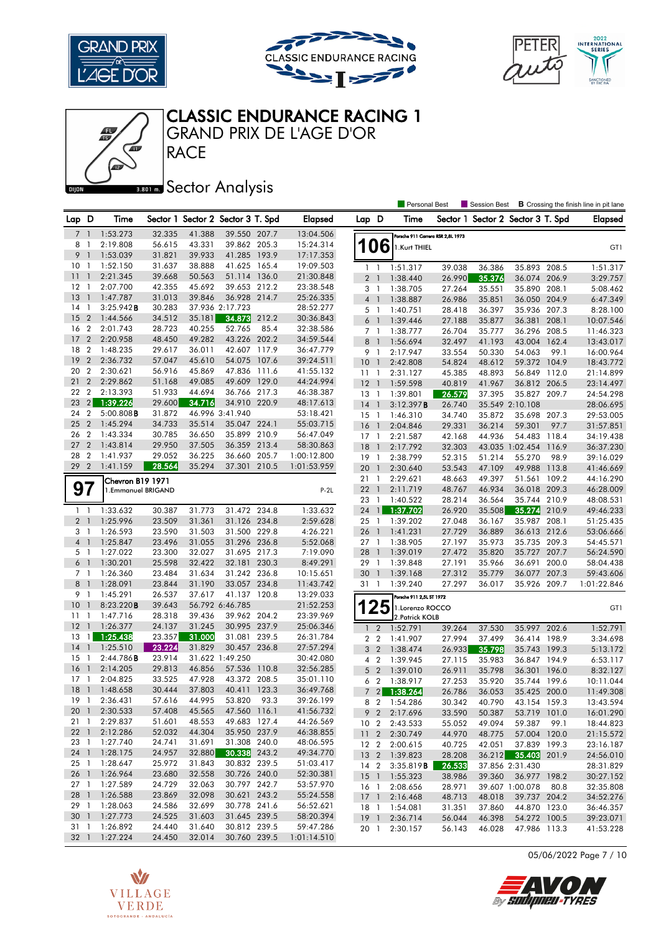

心







GRAND PRIX DE L'AGE D'OR

### **Bector Analysis**

**RACE** 

|                         |                          |                      |                  |                                   |                              |       |                          |                 |                 | <b>Personal Best</b>              |        | Session Best                      |                     |       | <b>B</b> Crossing the finish line in pit lane |
|-------------------------|--------------------------|----------------------|------------------|-----------------------------------|------------------------------|-------|--------------------------|-----------------|-----------------|-----------------------------------|--------|-----------------------------------|---------------------|-------|-----------------------------------------------|
| Lap D                   |                          | Time                 |                  | Sector 1 Sector 2 Sector 3 T. Spd |                              |       | Elapsed                  | Lap D           |                 | Time                              |        | Sector 1 Sector 2 Sector 3 T. Spd |                     |       | <b>Elapsed</b>                                |
| 7                       | $\overline{1}$           | 1:53.273             | 32.335           | 41.388                            | 39.550 207.7                 |       | 13:04.506                |                 |                 | Porsche 911 Carrera RSR 2,8L 1973 |        |                                   |                     |       |                                               |
| 8                       | -1                       | 2:19.808             | 56.615           | 43.331                            | 39.862 205.3                 |       | 15:24.314                |                 | 106             | 1.Kurt THIEL                      |        |                                   |                     |       | GT1                                           |
| 9                       | $\overline{1}$           | 1:53.039             | 31.821           | 39.933                            | 41.285                       | 193.9 | 17:17.353                |                 |                 |                                   |        |                                   |                     |       |                                               |
| 10                      | -1                       | 1:52.150             | 31.637           | 38.888                            | 41.625                       | 165.4 | 19:09.503                |                 | $1\quad$        | 1:51.317                          | 39.038 | 36.386                            | 35.893 208.5        |       | 1:51.317                                      |
| 11                      | $\overline{1}$           | 2:21.345             | 39.668           | 50.563                            | 51.114 136.0                 |       | 21:30.848                |                 | 2 <sub>1</sub>  | 1:38.440                          | 26.990 | 35.376                            | 36.074 206.9        |       | 3:29.757                                      |
| $12 \,$                 | $\overline{1}$           | 2:07.700             | 42.355           | 45.692                            | 39.653 212.2                 |       | 23:38.548                |                 | 3 <sub>1</sub>  | 1:38.705                          | 27.264 | 35.551                            | 35.890 208.1        |       | 5:08.462                                      |
| 13                      | $\overline{1}$           | 1:47.787             | 31.013           | 39.846                            | 36.928 214.7                 |       | 25:26.335                |                 | $4-1$           | 1:38.887                          | 26.986 | 35.851                            | 36.050 204.9        |       | 6:47.349                                      |
| 14                      | $\overline{1}$           | 3:25.942B            | 30.283           |                                   | 37.936 2:17.723              |       | 28:52.277                |                 | $5-1$           | 1:40.751                          | 28.418 | 36.397                            | 35.936 207.3        |       | 8:28.100                                      |
| 15                      | $\overline{2}$           | 1:44.566             | 34.512           | 35.181                            | 34.873                       | 212.2 | 30:36.843                | 6               | $\overline{1}$  | 1:39.446                          | 27.188 | 35.877                            | 36.381              | 208.1 | 10:07.546                                     |
| 16                      | $\overline{2}$           | 2:01.743             | 28.723           | 40.255                            | 52.765                       | 85.4  | 32:38.586                |                 | 7 <sub>1</sub>  | 1:38.777                          | 26.704 | 35.777                            | 36.296 208.5        |       | 11:46.323                                     |
| 17                      | $\overline{2}$           | 2:20.958             | 48.450           | 49.282                            | 43.226 202.2                 |       | 34:59.544                |                 | 8 <sup>1</sup>  | 1:56.694                          | 32.497 | 41.193                            | 43.004              | 162.4 | 13:43.017                                     |
| 18                      | $\overline{2}$           | 1:48.235             | 29.617           | 36.011                            | 42.607 117.9                 |       | 36:47.779                | 9               | $\overline{1}$  | 2:17.947                          | 33.554 | 50.330                            | 54.063              | 99.1  | 16:00.964                                     |
| 19                      | $\overline{2}$           | 2:36.732             | 57.047           | 45.610                            | 54.075                       | 107.6 | 39:24.511                | 10 <sub>1</sub> |                 | 2:42.808                          | 54.824 | 48.612                            | 59.372 104.9        |       | 18:43.772                                     |
| 20                      | $\overline{2}$           | 2:30.621             | 56.916           | 45.869                            | 47.836 111.6                 |       | 41:55.132                | $11-1$          |                 | 2:31.127                          | 45.385 | 48.893                            | 56.849              | 112.0 | 21:14.899                                     |
| 21                      | $\overline{2}$           | 2:29.862             | 51.168           | 49.085                            | 49.609                       | 129.0 | 44:24.994                | $12-1$          |                 | 1:59.598                          | 40.819 | 41.967                            | 36.812 206.5        |       | 23:14.497                                     |
| 22                      | $\overline{2}$           | 2:13.393             | 51.933           | 44.694                            | 36.766 217.3                 |       | 46:38.387                | $13-1$          |                 | 1:39.801                          | 26.579 | 37.395                            | 35.827 209.7        |       | 24:54.298                                     |
| 23                      | 2                        | 1:39.226             | 29.600           | 34.716                            | 34.910 220.9                 |       | 48:17.613                | 14              | $\overline{1}$  | 3:12.397B                         | 26.740 |                                   | 35.549 2:10.108     |       | 28:06.695                                     |
| 24                      | $\overline{2}$           | $5:00.808$ B         | 31.872           |                                   | 46.996 3:41.940              |       | 53:18.421                | $15-1$          |                 | 1:46.310                          | 34.740 | 35.872                            | 35.698 207.3        |       | 29:53.005                                     |
| 25                      | $\overline{2}$           | 1:45.294             | 34.733           | 35.514                            | 35.047 224.1                 |       | 55:03.715                | 16              | $\overline{1}$  | 2:04.846                          | 29.331 | 36.214                            | 59.301              | 97.7  | 31:57.851                                     |
| 26                      | $\overline{2}$           | 1:43.334             | 30.785           | 36.650                            | 35.899 210.9                 |       | 56:47.049                | $17-1$          |                 | 2:21.587                          | 42.168 | 44.936                            | 54.483 118.4        |       | 34:19.438                                     |
| 27                      | $\overline{2}$           | 1:43.814             | 29.950           | 37.505                            | 36.359 213.4                 |       | 58:30.863                | 18              | $\overline{1}$  | 2:17.792                          | 32.303 |                                   | 43.035 1:02.454     | 116.9 | 36:37.230                                     |
| 28                      | $\overline{2}$           | 1:41.937             | 29.052           | 36.225                            | 36.660 205.7                 |       | 1:00:12.800              | 19              | $\mathbf{1}$    | 2:38.799                          | 52.315 | 51.214                            | 55.270              | 98.9  | 39:16.029                                     |
| 29                      | $\overline{2}$           | 1:41.159             | 28.564           | 35.294                            | 37.301 210.5                 |       | 1:01:53.959              | 20              | $\overline{1}$  | 2:30.640                          | 53.543 | 47.109                            | 49.988              | 113.8 | 41:46.669                                     |
|                         |                          | Chevron B19 1971     |                  |                                   |                              |       |                          | 21              | $\mathbf{1}$    | 2:29.621                          | 48.663 | 49.397                            | 51.561              | 109.2 | 44:16.290                                     |
| 97                      |                          | 1.Emmanuel BRIGAND   |                  |                                   |                              |       | $P-2L$                   | $22 \quad 1$    |                 | 2:11.719                          | 48.767 | 46.934                            | 36.018 209.3        |       | 46:28.009                                     |
|                         |                          |                      |                  |                                   |                              |       |                          | 23              | $\overline{1}$  | 1:40.522                          | 28.214 | 36.564                            | 35.744              | 210.9 | 48:08.531                                     |
| $1\quad$                |                          | 1:33.632             | 30.387           | 31.773                            | 31.472 234.8                 |       | 1:33.632                 | 24              | $\mathbf{1}$    | 1:37.702                          | 26.920 | 35.508                            | 35.274 210.9        |       | 49:46.233                                     |
| 2 <sub>1</sub>          |                          | 1:25.996             | 23.509           | 31.361                            | 31.126 234.8                 |       | 2:59.628                 | 25 <sub>1</sub> |                 | 1:39.202                          | 27.048 | 36.167                            | 35.987 208.1        |       | 51:25.435                                     |
| 3 1                     |                          | 1:26.593             | 23.590           | 31.503                            | 31.500 229.8                 |       | 4:26.221                 | 26              | $\mathbf{1}$    | 1:41.231                          | 27.729 | 36.889                            | 36.613 212.6        |       | 53:06.666                                     |
| $4-1$                   |                          | 1:25.847             | 23.496           | 31.055                            | 31.296 236.8                 |       | 5:52.068                 | $27-1$          |                 | 1:38.905                          | 27.197 | 35.973                            | 35.735 209.3        |       | 54:45.571                                     |
| 5 <sub>1</sub>          |                          | 1:27.022             | 23.300           | 32.027                            | 31.695 217.3                 |       | 7:19.090                 | 28 1            |                 | 1:39.019                          | 27.472 | 35.820                            | 35.727 207.7        |       | 56:24.590                                     |
| 6 1                     |                          | 1:30.201             | 25.598           | 32.422                            | 32.181 230.3                 |       | 8:49.291                 | 29 1            |                 | 1:39.848                          | 27.191 | 35.966                            | 36.691 200.0        |       | 58:04.438                                     |
| 7 <sub>1</sub>          |                          | 1:26.360             | 23.484           | 31.634                            | 31.242 236.8                 |       | 10:15.651                | 30 <sub>1</sub> |                 | 1:39.168                          | 27.312 | 35.779                            | 36.077              | 207.3 | 59:43.606                                     |
| 8 <sup>1</sup>          |                          | 1:28.091             | 23.844           | 31.190                            | 33.057 234.8                 |       | 11:43.742                | 31 1            |                 | 1:39.240                          | 27.297 | 36.017                            | 35.926 209.7        |       | 1:01:22.846                                   |
| 9 1                     |                          | 1:45.291             | 26.537           | 37.617                            | 41.137 120.8                 |       | 13:29.033                |                 |                 | Porsche 911 2,5L ST 1972          |        |                                   |                     |       |                                               |
| 10                      | $\mathbf{1}$             | 8:23.220B            | 39.643           |                                   | 56.792 6:46.785              |       | 21:52.253                |                 | 25              | 1.Lorenzo ROCCO                   |        |                                   |                     |       | GT1                                           |
| 11                      | $\overline{\phantom{a}}$ | 1:47.716             | 28.318           | 39.436                            | 39.962 204.2                 |       | 23:39.969                |                 |                 | 2. Patrick KOLB                   |        |                                   |                     |       |                                               |
| 12                      | $\overline{1}$           | 1:26.377             | 24.137           | 31.245                            | 30.995 237.9                 |       | 25:06.346                | $\mathbf{1}$    | $\overline{2}$  | 1:52.791                          | 39.264 | 37.530                            | 35.997 202.6        |       | 1:52.791                                      |
| 13                      | $\overline{1}$           | 1:25.438             | 23.357           | 31.000                            | 31.081 239.5                 |       | 26:31.784                |                 | 2 <sub>2</sub>  | 1:41.907                          | 27.994 | 37.499                            | 36.414              | 198.9 | 3:34.698                                      |
| 14                      | $\overline{1}$           | 1:25.510             | 23.224           | 31.829                            | 30.457                       | 236.8 | 27:57.294                |                 | 3 <sub>2</sub>  | 1:38.474                          | 26.933 | 35.798                            | 35.743 199.3        |       | 5:13.172                                      |
| 15                      | $\mathbf{1}$             | 2:44.786B            | 23.914           |                                   | 31.622 1:49.250              |       | 30:42.080                | 4               | $\overline{2}$  | 1:39.945                          | 27.115 | 35.983                            | 36.847              | 194.9 | 6:53.117                                      |
| 16                      | $\mathbf{1}$             | 2:14.205             | 29.813           | 46.856                            | 57.536                       | 110.8 | 32:56.285                | 5               | $\overline{2}$  | 1:39.010                          | 26.911 | 35.798                            | 36.301              | 196.0 | 8:32.127                                      |
| 17                      | -1                       | 2:04.825             | 33.525           | 47.928                            | 43.372 208.5                 |       | 35:01.110                | 6               | $\overline{2}$  | 1:38.917                          | 27.253 | 35.920                            | 35.744              | 199.6 | 10:11.044                                     |
| 18                      | $\overline{1}$           | 1:48.658             | 30.444           | 37.803                            | 40.411 123.3                 |       | 36:49.768                |                 | 7 <sup>2</sup>  | 1:38.264                          | 26.786 | 36.053                            | 35.425 200.0        |       | 11:49.308                                     |
|                         |                          | 19 1 2:36.431        | 57.616           | 44.995                            | 53.820 93.3                  |       | 39:26.199                |                 | 8 2             | 1:54.286                          | 30.342 | 40.790                            | 43.154 159.3        |       | 13:43.594                                     |
| 20 <sub>1</sub>         |                          | 2:30.533             | 57.408           | 45.565                            | 47.560 116.1                 |       | 41:56.732                |                 | 9 <sub>2</sub>  | 2:17.696                          | 33.590 | 50.387                            | 53.719 101.0        |       | 16:01.290                                     |
| 21 1                    |                          | 2:29.837             | 51.601           | 48.553                            | 49.683 127.4                 |       | 44:26.569                |                 | 10 <sub>2</sub> | 2:43.533                          | 55.052 | 49.094                            | 59.387              | 99.1  | 18:44.823                                     |
|                         |                          | 22 1 2:12.286        | 52.032           | 44.304                            | 35.950 237.9                 |       | 46:38.855                |                 | 11 <sub>2</sub> | 2:30.749                          | 44.970 | 48.775                            | 57.004 120.0        |       | 21:15.572                                     |
| 23 1                    |                          | 1:27.740             | 24.741           | 31.691                            | 31.308 240.0                 |       | 48:06.595                |                 | 12 <sub>2</sub> | 2:00.615                          | 40.725 | 42.051                            | 37.839 199.3        |       | 23:16.187                                     |
| 24 1                    |                          | 1:28.175             | 24.957           | 32.880                            | 30.338 243.2                 |       | 49:34.770                |                 | 13 <sub>2</sub> | 1:39.823                          | 28.208 |                                   | 36.212 35.403 201.9 |       | 24:56.010                                     |
| 25 1<br>26 <sub>1</sub> |                          | 1:28.647<br>1:26.964 | 25.972<br>23.680 | 31.843                            | 30.832 239.5<br>30.726 240.0 |       | 51:03.417                |                 | 14 2            | 3:35.819B                         | 26.533 |                                   | 37.856 2:31.430     |       | 28:31.829                                     |
| $27-1$                  |                          | 1:27.589             | 24.729           | 32.558<br>32.063                  | 30.797 242.7                 |       | 52:30.381<br>53:57.970   |                 |                 | 15 1 1:55.323                     | 38.986 | 39.360                            | 36.977 198.2        |       | 30:27.152                                     |
|                         |                          | 28 1 1:26.588        | 23.869           | 32.098                            | 30.621 243.2                 |       | 55:24.558                |                 | 16 1            | 2:08.656                          | 28.971 |                                   | 39.607 1:00.078     | 80.8  | 32:35.808                                     |
| 29 1                    |                          | 1:28.063             | 24.586           |                                   | 30.778 241.6                 |       |                          |                 | $17-1$          | 2:16.468                          | 48.713 | 48.018                            | 39.737 204.2        |       | 34:52.276                                     |
| 30 <sub>1</sub>         |                          | 1:27.773             | 24.525           | 32.699<br>31.603                  | 31.645 239.5                 |       | 56:52.621<br>58:20.394   |                 | 18 1            | 1:54.081                          | 31.351 | 37.860                            | 44.870 123.0        |       | 36:46.357                                     |
|                         |                          | 1:26.892             | 24.440           | 31.640                            | 30.812 239.5                 |       |                          |                 | $19-1$          | 2:36.714                          | 56.044 | 46.398                            | 54.272 100.5        |       | 39:23.071                                     |
| 31 1                    |                          | 32 1 1:27.224        | 24.450           | 32.014                            | 30.760 239.5                 |       | 59:47.286<br>1:01:14.510 | 20 1            |                 | 2:30.157                          | 56.143 | 46.028                            | 47.986 113.3        |       | 41:53.228                                     |
|                         |                          |                      |                  |                                   |                              |       |                          |                 |                 |                                   |        |                                   |                     |       |                                               |

05/06/2022 Page 7 / 10



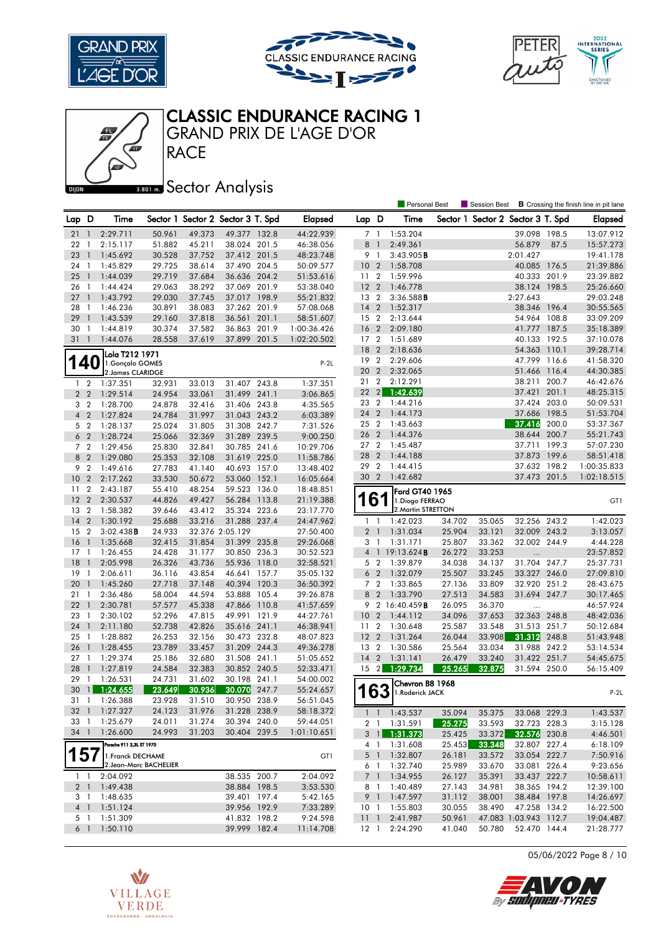





Personal Best **S** Session Best **B** Crossing the finish line in pit lane



GRAND PRIX DE L'AGE D'OR

Æ

# **Banks** Sector Analysis

**RACE** 

| Lap D           |                  | Time                     |        |        | Sector 1 Sector 2 Sector 3 T. Spd |       | <b>Elapsed</b> | Lap D           |                | Time                       |        |        | Sector 1 Sector 2 Sector 3 T. Spd |       | <b>Elapsed</b> |
|-----------------|------------------|--------------------------|--------|--------|-----------------------------------|-------|----------------|-----------------|----------------|----------------------------|--------|--------|-----------------------------------|-------|----------------|
| 21              | $\mathbf{1}$     | 2:29.711                 | 50.961 | 49.373 | 49.377 132.8                      |       | 44:22.939      | 7 1             |                | 1:53.204                   |        |        | 39.098                            | 198.5 | 13:07.912      |
| 22              | - 1              | 2:15.117                 | 51.882 | 45.211 | 38.024 201.5                      |       | 46:38.056      | 8               | $\overline{1}$ | 2:49.361                   |        |        | 56.879                            | 87.5  | 15:57.273      |
| 23              | $\overline{1}$   | 1:45.692                 | 30.528 | 37.752 | 37.412 201.5                      |       | 48:23.748      | 9               | $\overline{1}$ | 3:43.905B                  |        |        | 2:01.427                          |       | 19:41.178      |
| 24              | - 1              | 1:45.829                 | 29.725 | 38.614 | 37.490 204.5                      |       | 50:09.577      | 10 <sub>2</sub> |                | 1:58.708                   |        |        | 40.085 176.5                      |       | 21:39.886      |
| 25              | $\overline{1}$   | 1:44.039                 | 29.719 | 37.684 | 36.636 204.2                      |       | 51:53.616      | 11 <sub>2</sub> |                | 1:59.996                   |        |        | 40.333 201.9                      |       | 23:39.882      |
| 26              | $\mathbf{1}$     | 1:44.424                 | 29.063 | 38.292 | 37.069 201.9                      |       | 53:38.040      | 12 <sub>2</sub> |                | 1:46.778                   |        |        | 38.124 198.5                      |       | 25:26.660      |
| 27              | $\overline{1}$   | 1:43.792                 | 29.030 | 37.745 | 37.017 198.9                      |       | 55:21.832      | 13 2            |                | 3:36.588B                  |        |        | 2:27.643                          |       | 29:03.248      |
| 28              | - 1              | 1:46.236                 | 30.891 | 38.083 | 37.262 201.9                      |       | 57:08.068      | $14 \quad 2$    |                | 1:52.317                   |        |        | 38.346 196.4                      |       | 30:55.565      |
| 29              | $\overline{1}$   | 1:43.539                 | 29.160 | 37.818 | 36.561 201.1                      |       | 58:51.607      | 15 2            |                | 2:13.644                   |        |        | 54.964 108.8                      |       | 33:09.209      |
| 30              | -1               | 1:44.819                 | 30.374 | 37.582 | 36.863 201.9                      |       | 1:00:36.426    | <b>16</b>       | $\overline{2}$ | 2:09.180                   |        |        | 41.777 187.5                      |       | 35:18.389      |
| 31              | $\overline{1}$   | 1:44.076                 | 28.558 | 37.619 | 37.899 201.5                      |       | 1:02:20.502    | 17 <sup>2</sup> |                | 1:51.689                   |        |        | 40.133 192.5                      |       | 37:10.078      |
|                 |                  | Lola T212 1971           |        |        |                                   |       |                | 18 2            |                | 2:18.636                   |        |        | 54.363 110.1                      |       | 39:28.714      |
|                 | 40               | 1. Gonçalo GOMES         |        |        |                                   |       | $P-2L$         | 19              | $\overline{2}$ | 2:29.606                   |        |        | 47.799 116.6                      |       | 41:58.320      |
|                 |                  | 2. James CLARIDGE        |        |        |                                   |       |                | 20              | $\overline{2}$ | 2:32.065                   |        |        | 51.466                            | 116.4 | 44:30.385      |
| $\mathbf{1}$    | $\overline{2}$   | 1:37.351                 | 32.931 | 33.013 | 31.407 243.8                      |       | 1:37.351       | 21              | $\overline{2}$ | 2:12.291                   |        |        | 38.211                            | 200.7 | 46:42.676      |
| 2 <sub>2</sub>  |                  | 1:29.514                 | 24.954 | 33.061 | 31.499 241.1                      |       | 3:06.865       | $22 \quad 2$    |                | 1:42.639                   |        |        | 37.421                            | 201.1 | 48:25.315      |
| 3 <sub>2</sub>  |                  | 1:28.700                 | 24.878 | 32.416 | 31.406 243.8                      |       | 4:35.565       | 23 2            |                | 1:44.216                   |        |        | 37.424 203.0                      |       | 50:09.531      |
| 4 <sup>2</sup>  |                  | 1:27.824                 | 24.784 | 31.997 | 31.043 243.2                      |       | 6:03.389       | 24 2            |                | 1:44.173                   |        |        | 37.686 198.5                      |       | 51:53.704      |
| 5 <sub>2</sub>  |                  | 1:28.137                 | 25.024 | 31.805 | 31.308 242.7                      |       | 7:31.526       | 25 2            |                | 1:43.663                   |        |        | 37.416                            | 200.0 | 53:37.367      |
| 6 <sub>2</sub>  |                  | 1:28.724                 | 25.066 | 32.369 | 31.289 239.5                      |       | 9:00.250       | 26 2            |                | 1:44.376                   |        |        | 38.644 200.7                      |       | 55:21.743      |
| 7 <sub>2</sub>  |                  | 1:29.456                 | 25.830 | 32.841 | 30.785 241.6                      |       | 10:29.706      | 27 <sub>2</sub> |                | 1:45.487                   |        |        | 37.711 199.3                      |       | 57:07.230      |
| 8 2             |                  | 1:29.080                 | 25.353 | 32.108 | 31.619 225.0                      |       | 11:58.786      | 28 2            |                | 1:44.188                   |        |        | 37.873                            | 199.6 | 58:51.418      |
| 9               | $\overline{2}$   | 1:49.616                 | 27.783 | 41.140 | 40.693 157.0                      |       | 13:48.402      | 29              | $\overline{2}$ | 1:44.415                   |        |        | 37.632 198.2                      |       | 1:00:35.833    |
| 10 <sup>°</sup> | $\overline{2}$   | 2:17.262                 | 33.530 | 50.672 | 53.060 152.1                      |       | 16:05.664      | 30 2            |                | 1:42.682                   |        |        | 37.473 201.5                      |       | 1:02:18.515    |
| 11              | $\overline{2}$   | 2:43.187                 | 55.410 | 48.254 | 59.523 136.0                      |       | 18:48.851      |                 |                | Ford GT40 1965             |        |        |                                   |       |                |
| 12              | $\overline{2}$   | 2:30.537                 | 44.826 | 49.427 | 56.284 113.8                      |       | 21:19.388      |                 | 6              | 1.Diogo FERRAO             |        |        |                                   |       | GT1            |
| 13              | $\boldsymbol{2}$ | 1:58.382                 | 39.646 | 43.412 | 35.324 223.6                      |       | 23:17.770      |                 |                | 2. Martin STRETTON         |        |        |                                   |       |                |
| 14              | $\overline{2}$   | 1:30.192                 | 25.688 | 33.216 | 31.288 237.4                      |       | 24:47.962      | $1\quad$        |                | 1:42.023                   | 34.702 | 35.065 | 32.256 243.2                      |       | 1:42.023       |
| 15              | $\overline{2}$   | 3:02.438B                | 24.933 |        | 32.376 2:05.129                   |       | 27:50.400      | 2 <sub>1</sub>  |                | 1:31.034                   | 25.904 | 33.121 | 32.009 243.2                      |       | 3:13.057       |
| 16              | $\overline{1}$   | 1:35.668                 | 32.415 | 31.854 | 31.399 235.8                      |       | 29:26.068      | 3               | $\overline{1}$ | 1:31.171                   | 25.807 | 33.362 | 32.002 244.9                      |       | 4:44.228       |
| 17              | -1               | 1:26.455                 | 24.428 | 31.177 | 30.850 236.3                      |       | 30:52.523      |                 |                | 4 1 19:13.624B             | 26.272 | 33.253 | $\ldots$                          |       | 23:57.852      |
| 18              | $\mathbf{1}$     | 2:05.998                 | 26.326 | 43.736 | 55.936 118.0                      |       | 32:58.521      | 5 <sub>2</sub>  |                | 1:39.879                   | 34.038 | 34.137 | 31.704 247.7                      |       | 25:37.731      |
| 19              | $\mathbf{1}$     | 2:06.611                 | 36.116 | 43.854 | 46.641                            | 157.7 | 35:05.132      | 6 <sub>2</sub>  |                | 1:32.079                   | 25.507 | 33.245 | 33.327 246.0                      |       | 27:09.810      |
| 20              | $\overline{1}$   | 1:45.260                 | 27.718 | 37.148 | 40.394 120.3                      |       | 36:50.392      | 7 <sup>2</sup>  |                | 1:33.865                   | 27.136 | 33.809 | 32.920 251.2                      |       | 28:43.675      |
| 21              | - 1              | 2:36.486                 | 58.004 | 44.594 | 53.888 105.4                      |       | 39:26.878      | 8               | $\overline{2}$ | 1:33.790                   | 27.513 | 34.583 | 31.694 247.7                      |       | 30:17.465      |
| 22              | $\overline{1}$   | 2:30.781                 | 57.577 | 45.338 | 47.866 110.8                      |       | 41:57.659      |                 |                | 9 2 16:40.459B             | 26.095 | 36.370 |                                   |       | 46:57.924      |
| 23              | $\mathbf{1}$     | 2:30.102                 | 52.296 | 47.815 | 49.991 121.9                      |       | 44:27.761      | 10 <sub>2</sub> |                | 1:44.112                   | 34.096 | 37.653 | 32.363 248.8                      |       | 48:42.036      |
| 24              | $\mathbf{1}$     | 2:11.180                 | 52.738 | 42.826 | 35.616 241.1                      |       | 46:38.941      | 11              | $\overline{2}$ | 1:30.648                   | 25.587 | 33.548 | 31.513 251.7                      |       | 50:12.684      |
| 25              | $\overline{1}$   | 1:28.882                 | 26.253 | 32.156 | 30.473 232.8                      |       | 48:07.823      | $12 \quad 2$    |                | 1:31.264                   | 26.044 | 33.908 | 31.312                            | 248.8 | 51:43.948      |
| 26              | $\overline{1}$   | 1:28.455                 | 23.789 | 33.457 | 31.209 244.3                      |       | 49:36.278      | 13 2            |                | 1:30.586                   | 25.564 | 33.034 | 31.988 242.2                      |       | 53:14.534      |
| 27 <sub>1</sub> |                  | 1:29.374                 | 25.186 | 32.680 | 31.508 241.1                      |       | 51:05.652      | $14 \quad 2$    |                | 1:31.141                   | 26.479 | 33.240 | 31.422 251.7                      |       | 54:45.675      |
| 28              | $\overline{1}$   | 1:27.819                 | 24.584 | 32.383 | 30.852 240.5                      |       | 52:33.471      | $15 \quad 2$    |                | 1:29.734                   | 25.265 | 32.875 | 31.594 250.0                      |       | 56:15.409      |
| 29              | $\mathbf{1}$     | 1:26.531                 | 24.731 | 31.602 | 30.198 241.1                      |       | 54:00.002      |                 |                | Chevron B8 1968            |        |        |                                   |       |                |
| 30              | $\mathbf{1}$     | 1:24.655                 | 23.649 | 30.936 | 30.070                            | 247.7 | 55:24.657      |                 | 63             | 1.Roderick JACK            |        |        |                                   |       | $P-2L$         |
| 31 1            |                  | 1:26.388                 | 23.928 | 31.510 | 30.950 238.9                      |       | 56:51.045      |                 |                |                            |        |        |                                   |       |                |
| 32 1            |                  | 1:27.327                 | 24.123 | 31.976 | 31.228 238.9                      |       | 58:18.372      |                 |                | $1 \quad 1 \quad 1:43.537$ | 35.094 | 35.375 | 33.068 229.3                      |       | 1:43.537       |
| 33 1            |                  | 1:25.679                 | 24.011 | 31.274 | 30.394 240.0                      |       | 59:44.051      |                 | 2 <sub>1</sub> | 1:31.591                   | 25.275 | 33.593 | 32.723 228.3                      |       | 3:15.128       |
| 34 1            |                  | 1:26.600                 | 24.993 | 31.203 | 30.404 239.5                      |       | 1:01:10.651    |                 | $3 \mid$       | 1:31.373                   | 25.425 | 33.372 | 32.576 230.8                      |       | 4:46.501       |
|                 |                  | Porsche 911 2,3L ST 1970 |        |        |                                   |       |                |                 |                | 4 1 1:31.608               | 25.453 | 33.348 | 32.807 227.4                      |       | 6:18.109       |
| 157             |                  | 1. Franck DECHAME        |        |        |                                   |       | GT1            |                 | 5 1            | 1:32.807                   | 26.181 | 33.572 | 33.054 222.7                      |       | 7:50.916       |
|                 |                  | 2.Jean-Marc BACHELIER    |        |        |                                   |       |                |                 | 6 1            | 1:32.740                   | 25.989 | 33.670 | 33.081 226.4                      |       | 9:23.656       |
| $1\quad$        |                  | 2:04.092                 |        |        | 38.535 200.7                      |       | 2:04.092       |                 | 7 <sup>1</sup> | 1:34.955                   | 26.127 | 35.391 | 33.437 222.7                      |       | 10:58.611      |
| 2 <sub>1</sub>  |                  | 1:49.438                 |        |        | 38.884 198.5                      |       | 3:53.530       | 81              |                | 1:40.489                   | 27.143 | 34.981 | 38.365 194.2                      |       | 12:39.100      |
| 3 1             |                  | 1:48.635                 |        |        | 39.401 197.4                      |       | 5:42.165       |                 |                | 9 1 1:47.597               | 31.112 | 38.001 | 38.484 197.8                      |       | 14:26.697      |
|                 |                  | 4 1 1:51.124             |        |        | 39.956 192.9                      |       | 7:33.289       |                 |                | 10 1 1:55.803              | 30.055 | 38.490 | 47.258 134.2                      |       | 16:22.500      |
| 5 1             |                  | 1:51.309                 |        |        | 41.832 198.2                      |       | 9:24.598       | 11 <sub>1</sub> |                | 2:41.987                   | 50.961 |        | 47.083 1:03.943 112.7             |       | 19:04.487      |
| 6 1             |                  | 1:50.110                 |        |        | 39.999 182.4                      |       | 11:14.708      |                 |                | 12 1 2:24.290              | 41.040 | 50.780 | 52.470 144.4                      |       | 21:28.777      |

05/06/2022 Page 8 / 10

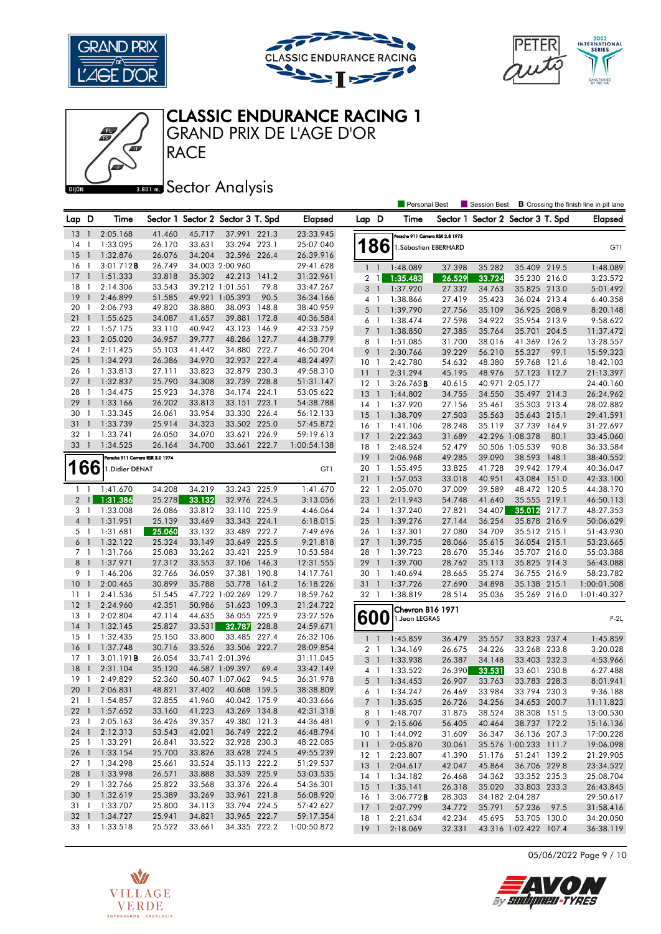







## CLASSIC ENDURANCE RACING 1

GRAND PRIX DE L'AGE D'OR

### **Banks** Sector Analysis

|                 |                          |                                  |        |        |                                   |       |                |                           |                | <b>Personal Best</b>             |                  | Session Best                      |                                       |       | <b>B</b> Crossing the finish line in pit lane |
|-----------------|--------------------------|----------------------------------|--------|--------|-----------------------------------|-------|----------------|---------------------------|----------------|----------------------------------|------------------|-----------------------------------|---------------------------------------|-------|-----------------------------------------------|
| Lap D           |                          | Time                             |        |        | Sector 1 Sector 2 Sector 3 T. Spd |       | <b>Elapsed</b> | Lap D                     |                | Time                             |                  | Sector 1 Sector 2 Sector 3 T. Spd |                                       |       | <b>Elapsed</b>                                |
| 13              | - 1                      | 2:05.168                         | 41.460 | 45.717 | 37.991 221.3                      |       | 23:33.945      |                           |                | Porsche 911 Carrera RSR 2.8 1973 |                  |                                   |                                       |       |                                               |
| 14              | -1                       | 1:33.095                         | 26.170 | 33.631 | 33.294 223.1                      |       | 25:07.040      | 186                       |                | 1.Sébastien EBERHARD             |                  |                                   |                                       |       | GT1                                           |
| 15              | $\mathbf{1}$             | 1:32.876                         | 26.076 | 34.204 | 32.596 226.4                      |       | 26:39.916      |                           |                |                                  |                  |                                   |                                       |       |                                               |
| 16              | -1                       | $3:01.712$ B                     | 26.749 |        | 34.003 2:00.960                   |       | 29:41.628      | $1\quad1$                 |                | 1:48.089                         | 37.398           | 35.282                            | 35.409 219.5                          |       | 1:48.089                                      |
| 17              | $\overline{1}$           | 1:51.333                         | 33.818 | 35.302 | 42.213                            | 141.2 | 31:32.961      | $2 \mid$                  |                | 1:35.483                         | 26.529           | 33.724                            | 35.230 216.0                          |       | 3:23.572                                      |
| 18              | $\overline{1}$           | 2:14.306                         | 33.543 |        | 39.212 1:01.551                   | 79.8  | 33:47.267      | 3                         | - 1            | 1:37.920                         | 27.332           | 34.763                            | 35.825 213.0                          |       | 5:01.492                                      |
| 19              | $\mathbf{1}$             | 2:46.899                         | 51.585 |        | 49.921 1:05.393                   | 90.5  | 36:34.166      | 4 1                       |                | 1:38.866                         | 27.419           | 35.423                            | 36.024 213.4                          |       | 6:40.358                                      |
| 20              | -1                       | 2:06.793                         | 49.820 | 38.880 | 38.093                            | 148.8 | 38:40.959      | 5                         | $\overline{1}$ | 1:39.790                         | 27.756           | 35.109                            | 36.925 208.9                          |       | 8:20.148                                      |
| 21              | $\mathbf{1}$             | 1:55.625                         | 34.087 | 41.657 | 39.881                            | 172.8 | 40:36.584      | 6                         | $\overline{1}$ | 1:38.474                         | 27.598           | 34.922                            | 35.954 213.9                          |       | 9:58.622                                      |
| 22              | - 1                      | 1:57.175                         | 33.110 | 40.942 | 43.123                            | 146.9 | 42:33.759      | $7^{\circ}$               | $\overline{1}$ | 1:38.850                         | 27.385           | 35.764                            | 35.701 204.5                          |       | 11:37.472                                     |
| 23              | $\mathbf{1}$             | 2:05.020                         | 36.957 | 39.777 | 48.286 127.7                      |       | 44:38.779      | 8                         | - 1            | 1:51.085                         | 31.700           | 38.016                            | 41.369                                | 126.2 | 13:28.557                                     |
| 24              | $\overline{1}$           | 2:11.425                         | 55.103 | 41.442 | 34.880 222.7                      |       | 46:50.204      | 9                         | $\overline{1}$ | 2:30.766                         | 39.229           | 56.210                            | 55.327                                | 99.1  | 15:59.323                                     |
| 25              | $\overline{1}$           | 1:34.293                         | 26.386 | 34.970 | 32.937 227.4                      |       | 48:24.497      | 10 <sub>1</sub>           |                | 2:42.780                         | 54.632           | 48.380                            | 59.768 121.6                          |       | 18:42.103                                     |
| 26              | $\overline{1}$           | 1:33.813                         | 27.111 | 33.823 | 32.879 230.3                      |       | 49:58.310      | 11                        | $\overline{1}$ | 2:31.294                         | 45.195           | 48.976                            | 57.123                                | 112.7 | 21:13.397                                     |
| 27              | $\mathbf{1}$             | 1:32.837                         | 25.790 | 34.308 | 32.739 228.8                      |       | 51:31.147      | $12-1$                    |                | 3:26.763B                        | 40.615           |                                   | 40.971 2:05.177                       |       | 24:40.160                                     |
| 28              | -1                       | 1:34.475                         | 25.923 | 34.378 | 34.174 224.1                      |       | 53:05.622      | 13                        | $\overline{1}$ | 1:44.802                         | 34.755           | 34.550                            | 35.497 214.3                          |       | 26:24.962                                     |
| 29              | $\mathbf{1}$             | 1:33.166                         | 26.202 | 33.813 | 33.151 223.1                      |       | 54:38.788      | $14-1$                    |                | 1:37.920                         | 27.156           | 35.461                            | 35.303 213.4                          |       | 28:02.882                                     |
| 30              | - 1                      | 1:33.345                         | 26.061 | 33.954 | 33.330 226.4                      |       | 56:12.133      | 15                        | $\overline{1}$ | 1:38.709                         | 27.503           | 35.563                            | 35.643 215.1                          |       | 29:41.591                                     |
| 31              | $\mathbf{1}$             | 1:33.739                         | 25.914 | 34.323 | 33.502 225.0                      |       | 57:45.872      | $16-1$                    |                | 1:41.106                         | 28.248           | 35.119                            | 37.739 164.9                          |       | 31:22.697                                     |
| 32              | -1                       | 1:33.741                         | 26.050 | 34.070 | 33.621                            | 226.9 | 59:19.613      | 17                        | $\overline{1}$ | 2:22.363                         | 31.689           |                                   | 42.296 1:08.378                       | 80.1  | 33:45.060                                     |
| 33              | $\overline{1}$           | 1:34.525                         | 26.164 | 34.700 | 33.661 222.7                      |       | 1:00:54.138    | 18                        | $\overline{1}$ | 2:48.524                         | 52.479           |                                   | 50.506 1:05.539                       | 90.8  | 36:33.584                                     |
|                 |                          | Porsche 911 Carrera RSR 3.0 1974 |        |        |                                   |       |                | 19                        | $\overline{1}$ | 2:06.968                         | 49.285           | 39.090                            | 38.593 148.1                          |       | 38:40.552                                     |
| 166             |                          | 1. Didier DENAT                  |        |        |                                   |       | GT1            | 20 1                      |                | 1:55.495                         | 33.825           | 41.728                            | 39.942 179.4                          |       | 40:36.047                                     |
|                 |                          |                                  |        |        |                                   |       |                | 21                        | $\overline{1}$ | 1:57.053                         | 33.018           | 40.951                            | 43.084 151.0                          |       | 42:33.100                                     |
| $1\quad$        |                          | 1:41.670                         | 34.208 | 34.219 | 33.243 225.9                      |       | 1:41.670       | 22 1                      |                | 2:05.070                         | 37.009           | 39.589                            | 48.472 120.5                          |       | 44:38.170                                     |
| 2 <sub>1</sub>  |                          | 1:31.386                         | 25.278 | 33.132 | 32.976 224.5                      |       | 3:13.056       | $23 \quad 1$              |                | 2:11.943                         | 54.748           | 41.640                            | 35.555 219.1                          |       | 46:50.113                                     |
| 3 1             |                          | 1:33.008                         | 26.086 | 33.812 | 33.110 225.9                      |       | 4:46.064       | 24 1                      |                | 1:37.240                         | 27.821           | 34.407                            | 35.012 217.7                          |       | 48:27.353                                     |
| 4 <sub>1</sub>  |                          | 1:31.951                         | 25.139 | 33.469 | 33.343 224.1                      |       | 6:18.015       | 25                        | $\overline{1}$ | 1:39.276                         | 27.144           | 36.254                            | 35.878 216.9                          |       | 50:06.629                                     |
| 5 1             |                          | 1:31.681                         | 25.060 | 33.132 | 33.489 222.7                      |       | 7:49.696       | 26 1                      |                | 1:37.301                         | 27.080           | 34.709                            | 35.512 215.1                          |       | 51:43.930                                     |
| 6 1             |                          | 1:32.122                         | 25.324 | 33.149 | 33.649 225.5                      |       | 9:21.818       | 271                       |                | 1:39.735                         | 28.066           | 35.615                            | 36.054 215.1                          |       | 53:23.665                                     |
| 7 <sup>1</sup>  |                          | 1:31.766                         | 25.083 | 33.262 | 33.421                            | 225.9 | 10:53.584      | 28 1                      |                | 1:39.723                         | 28.670           | 35.346                            | 35.707 216.0                          |       | 55:03.388                                     |
| 8               | $\overline{\phantom{a}}$ | 1:37.971                         | 27.312 | 33.553 | 37.106 146.3                      |       | 12:31.555      | 29                        | $\overline{1}$ | 1:39.700                         | 28.762           | 35.113                            | 35.825 214.3                          |       | 56:43.088                                     |
| 9 1             |                          | 1:46.206                         | 32.766 | 36.059 | 37.381 190.8                      |       | 14:17.761      | 30 1                      |                | 1:40.694                         | 28.665           | 35.274                            | 36.755 216.9                          |       | 58:23.782                                     |
| 10              | $\overline{1}$           | 2:00.465                         | 30.899 | 35.788 | 53.778 161.2                      |       | 16:18.226      | 31                        | $\overline{1}$ | 1:37.726                         | 27.690           | 34.898                            | 35.138 215.1                          |       | 1:00:01.508                                   |
| 11              | $\mathbf{1}$             | 2:41.536                         | 51.545 |        | 47.722 1:02.269 129.7             |       | 18:59.762      | 32 1                      |                | 1:38.819                         | 28.514           | 35.036                            | 35.269 216.0                          |       | 1:01:40.327                                   |
| 12              | $\mathbf{1}$             | 2:24.960                         | 42.351 | 50.986 | 51.623 109.3                      |       | 21:24.722      |                           |                |                                  |                  |                                   |                                       |       |                                               |
| 13              | - 1                      | 2:02.804                         | 42.114 | 44.635 | 36.055 225.9                      |       | 23:27.526      |                           |                | Chevron B16 1971                 |                  |                                   |                                       |       |                                               |
| 14              | $\overline{1}$           | 1:32.145                         | 25.827 | 33.531 | 32.787                            | 228.8 | 24:59.671      | 600                       |                | 1. Jean LEGRAS                   |                  |                                   |                                       |       | $P-2L$                                        |
| 15              | $\overline{1}$           | 1:32.435                         | 25.150 | 33.800 | 33.485 227.4                      |       | 26:32.106      | $\mathbf{1}$              | $\overline{1}$ | 1:45.859                         | 36.479           | 35.557                            | 33.823 237.4                          |       | 1:45.859                                      |
| 16              | $\mathbf{1}$             | 1:37.748                         | 30.716 | 33.526 | 33.506                            | 222.7 | 28:09.854      | 2 <sub>1</sub>            |                | 1:34.169                         | 26.675           | 34.226                            | 33.268 233.8                          |       | 3:20.028                                      |
| 17              | $\mathbf{1}$             | 3:01.191B                        | 26.054 |        | 33.741 2:01.396                   |       | 31:11.045      | 3 <sup>1</sup>            |                | 1:33.938                         | 26.387           | 34.148                            | 33.403 232.3                          |       | 4:53.966                                      |
| 18              | $\mathbf{1}$             | 2:31.104                         | 35.120 |        | 46.587 1:09.397                   | 69.4  | 33:42.149      | 4 1                       |                | 1:33.522                         | 26.390           | 33.531                            | 33.601 230.8                          |       | 6:27.488                                      |
| 19              | $\mathbf{1}$             | 2:49.829                         | 52.360 |        | 50.407 1:07.062                   | 94.5  | 36:31.978      | 5                         | - 1            | 1:34.453                         | 26.907           | 33.763                            | 33.783 228.3                          |       | 8:01.941                                      |
| 20              | $\overline{1}$           | 2:06.831                         | 48.821 | 37.402 | 40.608 159.5                      |       | 38:38.809      | 61                        |                | 1:34.247                         | 26.469           | 33.984                            | 33.794 230.3                          |       | 9:36.188                                      |
|                 |                          | 21 1 1:54.857                    | 32.855 | 41.960 | 40.042 175.9                      |       | 40:33.666      |                           |                | 7 1 1:35.635                     |                  |                                   |                                       |       |                                               |
| $22 \quad 1$    |                          | 1:57.652                         | 33.160 | 41.223 | 43.269 134.8                      |       | 42:31.318      |                           |                | 8 1 1:48.707                     | 26.726<br>31.875 | 34.256<br>38.524                  | 34.653 200.7<br>38.308 151.5          |       | 11:11.823<br>13:00.530                        |
| 23 1            |                          | 2:05.163                         | 36.426 | 39.357 | 49.380 121.3                      |       | 44:36.481      | 9 1                       |                | 2:15.606                         | 56.405           | 40.464                            | 38.737 172.2                          |       | 15:16.136                                     |
| 24 1            |                          | 2:12.313                         | 53.543 | 42.021 | 36.749 222.2                      |       | 46:48.794      | 10 <sub>1</sub>           |                | 1:44.092                         | 31.609           | 36.347                            | 36.136 207.3                          |       | 17:00.228                                     |
| $25 \quad 1$    |                          | 1:33.291                         | 26.841 | 33.522 | 32.928 230.3                      |       | 48:22.085      |                           |                |                                  |                  |                                   |                                       |       |                                               |
| 26 1            |                          | 1:33.154                         | 25.700 | 33.826 | 33.628 224.5                      |       | 49:55.239      | 11 <sub>1</sub><br>$12-1$ |                | 2:05.870<br>2:23.807             | 30.061<br>41.390 | 51.176                            | 35.576 1:00.233 111.7<br>51.241 139.2 |       | 19:06.098<br>21:29.905                        |
| 27 1            |                          | 1:34.298                         | 25.661 | 33.524 | 35.113 222.2                      |       | 51:29.537      | 13 <sup>1</sup>           |                |                                  | 42.047           |                                   | 36.706 229.8                          |       |                                               |
| 28 1            |                          | 1:33.998                         | 26.571 | 33.888 | 33.539 225.9                      |       | 53:03.535      |                           |                | 2:04.617                         |                  | 45.864<br>34.362                  | 33.352 235.3                          |       | 23:34.522                                     |
| 29 1            |                          | 1:32.766                         | 25.822 | 33.568 | 33.376 226.4                      |       | 54:36.301      | $15-1$                    |                | 14 1 1:34.182<br>1:35.141        | 26.468<br>26.318 |                                   | 33.803 233.3                          |       | 25:08.704                                     |
| 30 <sub>1</sub> |                          | 1:32.619                         | 25.389 | 33.269 | 33.961 221.8                      |       | 56:08.920      |                           |                |                                  |                  | 35.020                            |                                       |       | 26:43.845                                     |
| 31 1            |                          | 1:33.707                         | 25.800 | 34.113 | 33.794 224.5                      |       | 57:42.627      | 16 1<br>$17-1$            |                | 3:06.772B<br>2:07.799            | 28.303<br>34.772 | 35.791                            | 34.182 2:04.287<br>57.236             |       | 29:50.617<br>31:58.416                        |
| $32 \quad 1$    |                          | 1:34.727                         | 25.941 | 34.821 | 33.965 222.7                      |       | 59:17.354      | 18 1                      |                | 2:21.634                         | 42.234           | 45.695                            | 53.705 130.0                          | 97.5  | 34:20.050                                     |
|                 |                          | 33 1 1:33.518                    | 25.522 | 33.661 | 34.335 222.2                      |       | 1:00:50.872    | $19-1$                    |                | 2:18.069                         | 32.331           |                                   | 43.316 1:02.422 107.4                 |       | 36:38.119                                     |
|                 |                          |                                  |        |        |                                   |       |                |                           |                |                                  |                  |                                   |                                       |       |                                               |

05/06/2022 Page 9 / 10